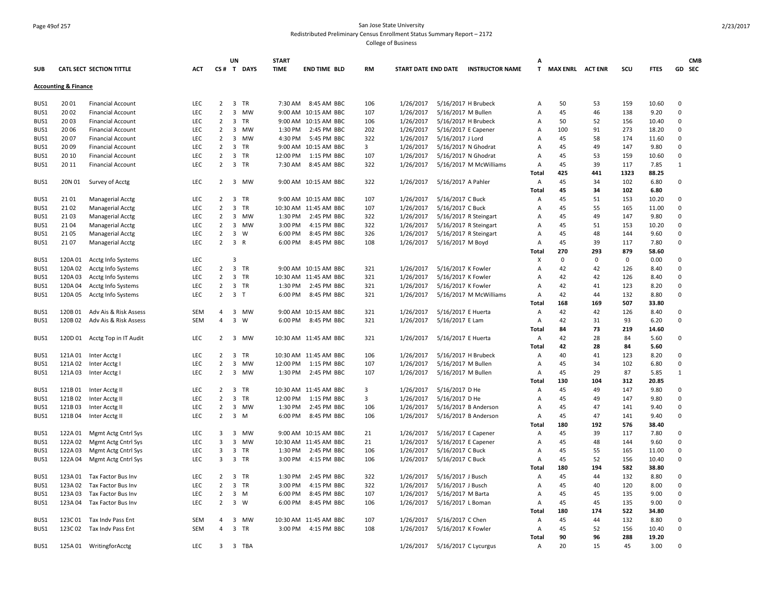# Page 49of 257 San Jose State University Redistributed Preliminary Census Enrollment Status Summary Report – 2172

|            |                                 |                                 |            |                | UN                      |            | <b>START</b> |                       |           |                            |                    |                        | А            |                         |             |             |               | <b>CMB</b>   |  |
|------------|---------------------------------|---------------------------------|------------|----------------|-------------------------|------------|--------------|-----------------------|-----------|----------------------------|--------------------|------------------------|--------------|-------------------------|-------------|-------------|---------------|--------------|--|
| <b>SUB</b> |                                 | <b>CATL SECT SECTION TITTLE</b> | <b>ACT</b> |                |                         | CS# T DAYS | <b>TIME</b>  | <b>END TIME BLD</b>   | <b>RM</b> | <b>START DATE END DATE</b> |                    | <b>INSTRUCTOR NAME</b> | T.           | <b>MAX ENRL ACT ENR</b> |             | SCU         | <b>FTES</b>   | GD SEC       |  |
|            | <b>Accounting &amp; Finance</b> |                                 |            |                |                         |            |              |                       |           |                            |                    |                        |              |                         |             |             |               |              |  |
| BUS1       | 2001                            | <b>Financial Account</b>        | LEC        | $2^{\circ}$    | $\overline{3}$          | TR         | 7:30 AM      | 8:45 AM BBC           | 106       | 1/26/2017                  |                    | 5/16/2017 H Brubeck    | А            | 50                      | 53          | 159         | 10.60         | $\Omega$     |  |
| BUS1       | 2002                            | <b>Financial Account</b>        | LEC        | $\overline{2}$ | $\overline{\mathbf{3}}$ | <b>MW</b>  |              | 9:00 AM 10:15 AM BBC  | 107       | 1/26/2017                  | 5/16/2017 M Bullen |                        | А            | 45                      | 46          | 138         | 9.20          | $\mathbf 0$  |  |
| BUS1       | 2003                            | <b>Financial Account</b>        | LEC        | $\overline{2}$ | $\overline{\mathbf{3}}$ | <b>TR</b>  |              | 9:00 AM 10:15 AM BBC  | 106       | 1/26/2017                  |                    | 5/16/2017 H Brubeck    | Α            | 50                      | 52          | 156         | 10.40         | $\mathbf 0$  |  |
| BUS1       | 2006                            | <b>Financial Account</b>        | LEC        | $\overline{2}$ | $\overline{\mathbf{3}}$ | <b>MW</b>  | 1:30 PM      | 2:45 PM BBC           | 202       | 1/26/2017                  |                    | 5/16/2017 E Capener    | Α            | 100                     | 91          | 273         | 18.20         | $\mathbf 0$  |  |
| BUS1       | 2007                            | <b>Financial Account</b>        | LEC        | $\overline{2}$ | 3                       | MW         | 4:30 PM      | 5:45 PM BBC           | 322       | 1/26/2017                  | 5/16/2017 J Lord   |                        | Α            | 45                      | 58          | 174         | 11.60         | $\mathbf 0$  |  |
| BUS1       | 2009                            | <b>Financial Account</b>        | LEC        | $\overline{2}$ | $\overline{3}$          | TR         |              | 9:00 AM 10:15 AM BBC  | 3         | 1/26/2017                  |                    | 5/16/2017 N Ghodrat    | Α            | 45                      | 49          | 147         | 9.80          | $\mathbf 0$  |  |
| BUS1       | 20 10                           | <b>Financial Account</b>        | LEC        | $\overline{2}$ | $\mathbf{3}$            | TR         | 12:00 PM     | 1:15 PM BBC           | 107       | 1/26/2017                  |                    | 5/16/2017 N Ghodrat    | Α            | 45                      | 53          | 159         | 10.60         | $\mathsf 0$  |  |
| BUS1       | 20 11                           | <b>Financial Account</b>        | LEC        | $\overline{2}$ |                         | 3 TR       | 7:30 AM      | 8:45 AM BBC           | 322       | 1/26/2017                  |                    | 5/16/2017 M McWilliams | Α            | 45                      | 39          | 117         | 7.85          | $\mathbf{1}$ |  |
|            |                                 |                                 |            |                |                         |            |              |                       |           |                            |                    |                        | Total        | 425                     | 441         | 1323        | 88.25         |              |  |
| BUS1       | 20N 01                          | Survey of Acctg                 | <b>LEC</b> |                |                         | 2 3 MW     |              | 9:00 AM 10:15 AM BBC  | 322       | 1/26/2017                  | 5/16/2017 A Pahler |                        | Α            | 45                      | 34          | 102         | 6.80          | $\Omega$     |  |
|            |                                 |                                 |            |                |                         |            |              |                       |           |                            |                    |                        | Total        | 45                      | 34          | 102         | 6.80          |              |  |
| BUS1       | 2101                            | Managerial Acctg                | LEC        | $\overline{2}$ | 3                       | TR         |              | 9:00 AM 10:15 AM BBC  | 107       | 1/26/2017                  | 5/16/2017 C Buck   |                        | А            | 45                      | 51          | 153         | 10.20         | $\mathsf 0$  |  |
| BUS1       | 2102                            | Managerial Acctg                | LEC        | $\overline{2}$ | 3                       | TR         |              | 10:30 AM 11:45 AM BBC | 107       | 1/26/2017                  | 5/16/2017 C Buck   |                        | Α            | 45                      | 55          | 165         | 11.00         | $\mathbf 0$  |  |
| BUS1       | 2103                            | Managerial Acctg                | LEC        | $\overline{2}$ | $\overline{\mathbf{3}}$ | MW         | 1:30 PM      | 2:45 PM BBC           | 322       | 1/26/2017                  |                    | 5/16/2017 R Steingart  | А            | 45                      | 49          | 147         | 9.80          | $\mathbf 0$  |  |
| BUS1       | 2104                            | Managerial Acctg                | LEC        | $\overline{2}$ | $\overline{\mathbf{3}}$ | <b>MW</b>  | 3:00 PM      | 4:15 PM BBC           | 322       | 1/26/2017                  |                    | 5/16/2017 R Steingart  | Α            | 45                      | 51          | 153         | 10.20         | $\mathbf 0$  |  |
| BUS1       | 2105                            | <b>Managerial Acctg</b>         | LEC        | $\overline{2}$ | $\overline{\mathbf{3}}$ | W          | 6:00 PM      | 8:45 PM BBC           | 326       | 1/26/2017                  |                    | 5/16/2017 R Steingart  | Α            | 45                      | 48          | 144         | 9.60          | $\mathbf 0$  |  |
| BUS1       | 2107                            | Managerial Acctg                | LEC        | $\overline{2}$ | $\overline{\mathbf{3}}$ | R          | 6:00 PM      | 8:45 PM BBC           | 108       | 1/26/2017                  | 5/16/2017 M Boyd   |                        | Α            | 45                      | 39          | 117         | 7.80          | 0            |  |
|            |                                 |                                 |            |                |                         |            |              |                       |           |                            |                    |                        | <b>Total</b> | 270                     | 293         | 879         | 58.60         |              |  |
| BUS1       | 120A 01                         | Acctg Info Systems              | LEC        |                | 3                       |            |              |                       |           |                            |                    |                        | X            | $\Omega$                | $\mathbf 0$ | $\mathbf 0$ | 0.00          | $\mathbf 0$  |  |
| BUS1       | 120A 02                         | Acctg Info Systems              | LEC        | $\overline{2}$ |                         | 3 TR       |              | 9:00 AM 10:15 AM BBC  | 321       | 1/26/2017                  | 5/16/2017 K Fowler |                        | А            | 42                      | 42          | 126         | 8.40          | $\mathbf 0$  |  |
| BUS1       | 120A 03                         | Acctg Info Systems              | LEC        | $\overline{2}$ |                         | 3 TR       |              | 10:30 AM 11:45 AM BBC | 321       | 1/26/2017                  | 5/16/2017 K Fowler |                        | Α            | 42                      | 42          | 126         | 8.40          | $\mathbf 0$  |  |
|            |                                 |                                 | LEC        | 2              | $\overline{\mathbf{3}}$ | TR         | 1:30 PM      | 2:45 PM BBC           | 321       |                            |                    |                        |              | 42                      | 41          | 123         | 8.20          | 0            |  |
| BUS1       | 120A 04                         | Acctg Info Systems              |            |                |                         |            |              |                       | 321       | 1/26/2017                  | 5/16/2017 K Fowler |                        | Α            | 42                      | 44          | 132         |               | $\Omega$     |  |
| BUS1       | 120A 05                         | Acctg Info Systems              | LEC        | $\overline{2}$ | 3 <sub>1</sub>          |            | 6:00 PM      | 8:45 PM BBC           |           | 1/26/2017                  |                    | 5/16/2017 M McWilliams | Α            |                         | 169         | 507         | 8.80<br>33.80 |              |  |
|            |                                 |                                 |            |                |                         |            |              |                       |           |                            |                    |                        | Total        | 168                     |             |             |               |              |  |
| BUS1       | 120B01                          | Adv Ais & Risk Assess           | SEM        | $\overline{4}$ | $\overline{\mathbf{3}}$ | MW         |              | 9:00 AM 10:15 AM BBC  | 321       | 1/26/2017                  | 5/16/2017 E Huerta |                        | Α            | 42                      | 42          | 126         | 8.40          | $\mathbf 0$  |  |
| BUS1       | 120B02                          | Adv Ais & Risk Assess           | SEM        | $\overline{4}$ | $\overline{3}$          | W          | 6:00 PM      | 8:45 PM BBC           | 321       | 1/26/2017                  | 5/16/2017 E Lam    |                        | А            | 42                      | 31          | 93          | 6.20          | $\mathbf 0$  |  |
|            |                                 |                                 |            |                |                         |            |              |                       |           |                            |                    |                        | Total        | 84                      | 73          | 219         | 14.60         |              |  |
| BUS1       |                                 | 120D 01 Acctg Top in IT Audit   | LEC        | $\overline{2}$ |                         | 3 MW       |              | 10:30 AM 11:45 AM BBC | 321       | 1/26/2017                  | 5/16/2017 E Huerta |                        | Α            | 42                      | 28          | 84          | 5.60          | $\mathsf 0$  |  |
|            |                                 |                                 |            |                |                         |            |              |                       |           |                            |                    |                        | Total        | 42                      | 28          | 84          | 5.60          |              |  |
| BUS1       | 121A 01                         | Inter Acctg I                   | LEC        | $\overline{2}$ | $\overline{\mathbf{3}}$ | <b>TR</b>  |              | 10:30 AM 11:45 AM BBC | 106       | 1/26/2017                  |                    | 5/16/2017 H Brubeck    | Α            | 40                      | 41          | 123         | 8.20          | $\mathsf 0$  |  |
| BUS1       | 121A 02                         | Inter Acctg I                   | <b>LEC</b> | $\overline{2}$ | $\overline{3}$          | <b>MW</b>  | 12:00 PM     | 1:15 PM BBC           | 107       | 1/26/2017                  | 5/16/2017 M Bullen |                        | Α            | 45                      | 34          | 102         | 6.80          | $\Omega$     |  |
| BUS1       | 121A 03                         | Inter Acctg I                   | LEC        | $\overline{2}$ | 3                       | <b>MW</b>  | 1:30 PM      | 2:45 PM BBC           | 107       | 1/26/2017                  | 5/16/2017 M Bullen |                        | Α            | 45                      | 29          | 87          | 5.85          | $\mathbf{1}$ |  |
|            |                                 |                                 |            |                |                         |            |              |                       |           |                            |                    |                        | Total        | 130                     | 104         | 312         | 20.85         |              |  |
| BUS1       | 121B 01                         | Inter Acctg II                  | LEC        | $\overline{2}$ | $\overline{\mathbf{3}}$ | TR         |              | 10:30 AM 11:45 AM BBC | 3         | 1/26/2017                  | 5/16/2017 D He     |                        | Α            | 45                      | 49          | 147         | 9.80          | 0            |  |
| BUS1       | 121B02                          | Inter Acctg II                  | LEC        | $\overline{2}$ | 3                       | TR         | 12:00 PM     | 1:15 PM BBC           | 3         | 1/26/2017                  | 5/16/2017 D He     |                        | Α            | 45                      | 49          | 147         | 9.80          | $\Omega$     |  |
| BUS1       | 121B03                          | Inter Acctg II                  | LEC        | $\overline{2}$ |                         | 3 MW       | 1:30 PM      | 2:45 PM BBC           | 106       | 1/26/2017                  |                    | 5/16/2017 B Anderson   | Α            | 45                      | 47          | 141         | 9.40          | $\mathbf 0$  |  |
| BUS1       | 121B04                          | Inter Acctg II                  | LEC        | $\overline{2}$ | $\overline{\mathbf{3}}$ | M          | 6:00 PM      | 8:45 PM BBC           | 106       | 1/26/2017                  |                    | 5/16/2017 B Anderson   | Α            | 45                      | 47          | 141         | 9.40          | $\mathbf 0$  |  |
|            |                                 |                                 |            |                |                         |            |              |                       |           |                            |                    |                        | Total        | 180                     | 192         | 576         | 38.40         |              |  |
| BUS1       | 122A 01                         | Mgmt Actg Cntrl Sys             | <b>LEC</b> | 3              | $\overline{3}$          | MW         |              | 9:00 AM 10:15 AM BBC  | 21        | 1/26/2017                  |                    | 5/16/2017 E Capener    | Α            | 45                      | 39          | 117         | 7.80          | $\Omega$     |  |
| BUS1       | 122A 02                         | Mgmt Actg Cntrl Sys             | LEC        | 3              | 3                       | <b>MW</b>  |              | 10:30 AM 11:45 AM BBC | 21        | 1/26/2017                  |                    | 5/16/2017 E Capener    | А            | 45                      | 48          | 144         | 9.60          | $\mathbf 0$  |  |
| BUS1       | 122A 03                         | Mgmt Actg Cntrl Sys             | LEC        | 3              | $\overline{\mathbf{3}}$ | TR         | 1:30 PM      | 2:45 PM BBC           | 106       | 1/26/2017                  | 5/16/2017 C Buck   |                        | Α            | 45                      | 55          | 165         | 11.00         | $\mathbf 0$  |  |
| BUS1       | 122A 04                         | Mgmt Actg Cntrl Sys             | LEC        | 3              |                         | 3 TR       | 3:00 PM      | 4:15 PM BBC           | 106       | 1/26/2017                  | 5/16/2017 C Buck   |                        | Α            | 45                      | 52          | 156         | 10.40         | $\mathsf 0$  |  |
|            |                                 |                                 |            |                |                         |            |              |                       |           |                            |                    |                        | Total        | 180                     | 194         | 582         | 38.80         |              |  |
| BUS1       | 123A 01                         | Tax Factor Bus Inv              | <b>LEC</b> | $\overline{2}$ | $\overline{3}$          | <b>TR</b>  | 1:30 PM      | 2:45 PM BBC           | 322       | 1/26/2017                  | 5/16/2017 J Busch  |                        | Α            | 45                      | 44          | 132         | 8.80          | $\mathbf 0$  |  |
| BUS1       | 123A 02                         | Tax Factor Bus Inv              | LEC        | $\overline{2}$ | $\overline{3}$          | TR         | 3:00 PM      | 4:15 PM BBC           | 322       | 1/26/2017                  | 5/16/2017 J Busch  |                        | Α            | 45                      | 40          | 120         | 8.00          | $\mathbf 0$  |  |
| BUS1       | 123A 03                         | Tax Factor Bus Inv              | LEC        | $\overline{2}$ |                         | $3 \, M$   | 6:00 PM      | 8:45 PM BBC           | 107       | 1/26/2017                  | 5/16/2017 M Barta  |                        | Α            | 45                      | 45          | 135         | 9.00          | $\mathbf 0$  |  |
| BUS1       | 123A04                          | Tax Factor Bus Inv              | LEC        | $\overline{2}$ | $\overline{3}$          | W          | 6:00 PM      | 8:45 PM BBC           | 106       | 1/26/2017                  | 5/16/2017 L Boman  |                        | Α            | 45                      | 45          | 135         | 9.00          | $\mathbf 0$  |  |
|            |                                 |                                 |            |                |                         |            |              |                       |           |                            |                    |                        | Total        | 180                     | 174         | 522         | 34.80         |              |  |
| BUS1       | 123C01                          | Tax Indv Pass Ent               | SEM        | $\overline{4}$ |                         | 3 MW       |              | 10:30 AM 11:45 AM BBC | 107       | 1/26/2017                  | 5/16/2017 C Chen   |                        | Α            | 45                      | 44          | 132         | 8.80          | 0            |  |
| BUS1       | 123C02                          | Tax Indy Pass Ent               | <b>SEM</b> | $\overline{4}$ |                         | 3 TR       | 3:00 PM      | 4:15 PM BBC           | 108       | 1/26/2017                  | 5/16/2017 K Fowler |                        | Α            | 45                      | 52          | 156         | 10.40         | $\mathsf 0$  |  |
|            |                                 |                                 |            |                |                         |            |              |                       |           |                            |                    |                        | Total        | 90                      | 96          | 288         | 19.20         |              |  |
| BUS1       |                                 | 125A 01 WritingforAcctg         | LEC        | 3              |                         | 3 TBA      |              |                       |           | 1/26/2017                  |                    | 5/16/2017 C Lycurgus   | Α            | 20                      | 15          | 45          | 3.00          | $\Omega$     |  |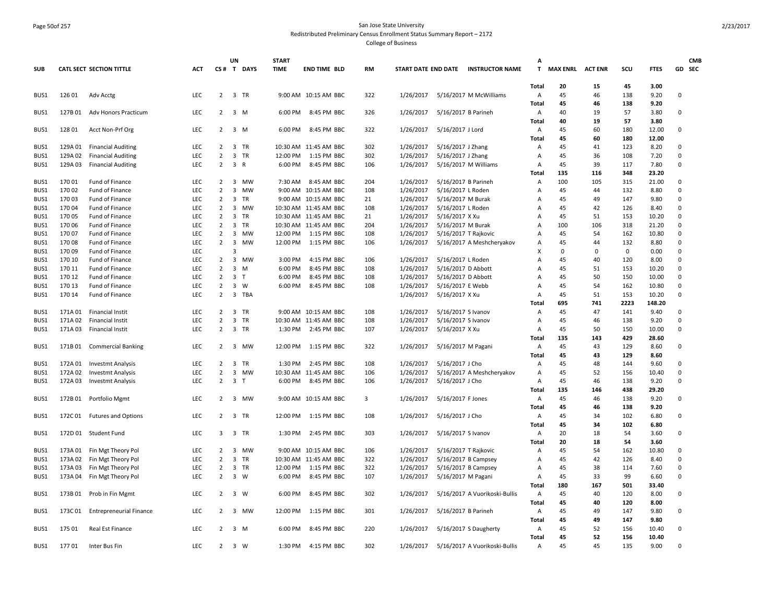#### Page 50of 257 San Jose State University Redistributed Preliminary Census Enrollment Status Summary Report – 2172

|              |                    |                                                        |            |                                  | UN                      |              | <b>START</b> |                                      |            |                        |                      |                               | Δ            |                         |             |             |                |                             | <b>CMB</b> |
|--------------|--------------------|--------------------------------------------------------|------------|----------------------------------|-------------------------|--------------|--------------|--------------------------------------|------------|------------------------|----------------------|-------------------------------|--------------|-------------------------|-------------|-------------|----------------|-----------------------------|------------|
| <b>SUB</b>   |                    | CATL SECT SECTION TITTLE                               | <b>ACT</b> |                                  |                         | CS# T DAYS   | <b>TIME</b>  | <b>END TIME BLD</b>                  | <b>RM</b>  | START DATE END DATE    |                      | <b>INSTRUCTOR NAME</b>        | $\mathbf{T}$ | <b>MAX ENRL ACT ENR</b> |             | scu         | <b>FTES</b>    | GD SEC                      |            |
|              |                    |                                                        |            |                                  |                         |              |              |                                      |            |                        |                      |                               | <b>Total</b> | 20                      | 15          | 45          | 3.00           |                             |            |
| BUS1         | 12601              | Adv Acctg                                              | <b>LEC</b> | $\overline{2}$                   |                         | 3 TR         |              | 9:00 AM 10:15 AM BBC                 | 322        | 1/26/2017              |                      | 5/16/2017 M McWilliams        | Α            | 45                      | 46          | 138         | 9.20           | 0                           |            |
|              |                    |                                                        |            |                                  |                         |              |              |                                      |            |                        |                      |                               | <b>Total</b> | 45                      | 46          | 138         | 9.20           |                             |            |
| BUS1         |                    | 127B 01 Adv Honors Practicum                           | LEC        | $\overline{2}$                   | $3 \, M$                |              | 6:00 PM      | 8:45 PM BBC                          | 326        | 1/26/2017              | 5/16/2017 B Parineh  |                               | A            | 40                      | 19          | 57          | 3.80           | $\mathbf 0$                 |            |
|              |                    |                                                        |            |                                  |                         |              |              |                                      |            |                        |                      |                               | Total        | 40                      | 19          | 57          | 3.80           |                             |            |
| BUS1         | 12801              | Acct Non-Prf Org                                       | LEC        | $\overline{2}$                   | $3 \, M$                |              | 6:00 PM      | 8:45 PM BBC                          | 322        | 1/26/2017              | 5/16/2017 J Lord     |                               | A            | 45<br>45                | 60<br>60    | 180         | 12.00<br>12.00 | $\mathbf 0$                 |            |
|              |                    |                                                        | LEC        |                                  |                         |              |              |                                      |            |                        |                      |                               | Total        |                         |             | 180<br>123  |                |                             |            |
| BUS1<br>BUS1 | 129A 01<br>129A 02 | <b>Financial Auditing</b><br><b>Financial Auditing</b> | <b>LEC</b> | $\overline{2}$<br>$\overline{2}$ |                         | 3 TR<br>3 TR | 12:00 PM     | 10:30 AM 11:45 AM BBC<br>1:15 PM BBC | 302<br>302 | 1/26/2017<br>1/26/2017 | 5/16/2017 J Zhang    |                               | Α<br>Α       | 45<br>45                | 41<br>36    | 108         | 8.20<br>7.20   | $\mathbf 0$<br>$\mathbf{0}$ |            |
| BUS1         | 129A 03            | <b>Financial Auditing</b>                              | <b>LEC</b> | $\overline{2}$                   | $\overline{3}$          | $\mathsf{R}$ | 6:00 PM      | 8:45 PM BBC                          | 106        | 1/26/2017              | 5/16/2017 J Zhang    | 5/16/2017 M Williams          | A            | 45                      | 39          | 117         | 7.80           | $\mathbf 0$                 |            |
|              |                    |                                                        |            |                                  |                         |              |              |                                      |            |                        |                      |                               | Total        | 135                     | 116         | 348         | 23.20          |                             |            |
| BUS1         | 17001              | Fund of Finance                                        | LEC        | $\overline{2}$                   |                         | 3 MW         | 7:30 AM      | 8:45 AM BBC                          | 204        | 1/26/2017              | 5/16/2017 B Parineh  |                               | Α            | 100                     | 105         | 315         | 21.00          | $\mathbf 0$                 |            |
| BUS1         | 17002              | Fund of Finance                                        | LEC        | $\overline{2}$                   |                         | 3 MW         |              | 9:00 AM 10:15 AM BBC                 | 108        | 1/26/2017              | 5/16/2017 L Roden    |                               | Α            | 45                      | 44          | 132         | 8.80           | $\pmb{0}$                   |            |
| BUS1         | 17003              | <b>Fund of Finance</b>                                 | <b>LEC</b> | 2                                | $\overline{\mathbf{3}}$ | TR           |              | 9:00 AM 10:15 AM BBC                 | 21         | 1/26/2017              | 5/16/2017 M Burak    |                               | A            | 45                      | 49          | 147         | 9.80           | $\Omega$                    |            |
| BUS1         | 17004              | Fund of Finance                                        | <b>LEC</b> | $\overline{2}$                   | $\overline{3}$          | <b>MW</b>    |              | 10:30 AM 11:45 AM BBC                | 108        | 1/26/2017              | 5/16/2017 L Roden    |                               | A            | 45                      | 42          | 126         | 8.40           | $\Omega$                    |            |
| BUS1         | 17005              | Fund of Finance                                        | LEC        | $\overline{2}$                   | $\overline{3}$          | TR           |              | 10:30 AM 11:45 AM BBC                | 21         | 1/26/2017              | 5/16/2017 X Xu       |                               | A            | 45                      | 51          | 153         | 10.20          | $\mathsf 0$                 |            |
| BUS1         | 17006              | Fund of Finance                                        | <b>LEC</b> | $\overline{2}$                   | 3                       | TR           |              | 10:30 AM 11:45 AM BBC                | 204        | 1/26/2017              | 5/16/2017 M Burak    |                               | A            | 100                     | 106         | 318         | 21.20          | $\mathbf 0$                 |            |
| BUS1         | 17007              | Fund of Finance                                        | LEC        | $\overline{2}$                   | $\overline{3}$          | MW           | 12:00 PM     | 1:15 PM BBC                          | 108        | 1/26/2017              | 5/16/2017 T Rajkovic |                               | A            | 45                      | 54          | 162         | 10.80          | 0                           |            |
| BUS1         | 17008              | Fund of Finance                                        | LEC        | 2                                |                         | 3 MW         | 12:00 PM     | 1:15 PM BBC                          | 106        | 1/26/2017              |                      | 5/16/2017 A Meshcheryakov     | Α            | 45                      | 44          | 132         | 8.80           | $\mathbf 0$                 |            |
| BUS1         | 17009              | Fund of Finance                                        | LEC        |                                  | $\overline{3}$          |              |              |                                      |            |                        |                      |                               | x            | $\Omega$                | $\mathbf 0$ | $\mathbf 0$ | 0.00           | $\mathbf 0$                 |            |
| BUS1         | 170 10             | Fund of Finance                                        | LEC        | $\overline{2}$                   | $\overline{3}$          | MW           | 3:00 PM      | 4:15 PM BBC                          | 106        | 1/26/2017              | 5/16/2017 L Roden    |                               | Α            | 45                      | 40          | 120         | 8.00           | $\mathsf 0$                 |            |
| BUS1         | 170 11             | <b>Fund of Finance</b>                                 | <b>LEC</b> | 2                                | $\overline{3}$          | M            | 6:00 PM      | 8:45 PM BBC                          | 108        | 1/26/2017              | 5/16/2017 D Abbott   |                               | A            | 45                      | 51          | 153         | 10.20          | $\Omega$                    |            |
| BUS1         | 170 12             | Fund of Finance                                        | <b>LEC</b> | 2                                | $\overline{3}$          | T            | 6:00 PM      | 8:45 PM BBC                          | 108        | 1/26/2017              | 5/16/2017 D Abbott   |                               | A            | 45                      | 50          | 150         | 10.00          | $\Omega$                    |            |
| BUS1         | 170 13             | Fund of Finance                                        | LEC        | $\overline{2}$                   |                         | $3 \quad W$  | 6:00 PM      | 8:45 PM BBC                          | 108        | 1/26/2017              | 5/16/2017 E Webb     |                               | Α            | 45                      | 54          | 162         | 10.80          | $\mathsf 0$                 |            |
| BUS1         | 170 14             | Fund of Finance                                        | LEC        | $\overline{2}$                   |                         | 3 TBA        |              |                                      |            | 1/26/2017              | 5/16/2017 X Xu       |                               | A            | 45                      | 51          | 153         | 10.20          | $\mathbf 0$                 |            |
|              |                    |                                                        |            |                                  |                         |              |              |                                      |            |                        |                      |                               | Total        | 695                     | 741         | 2223        | 148.20         |                             |            |
| BUS1         | 171A 01            | <b>Financial Instit</b>                                | LEC        | 2                                | $\overline{3}$          | TR           |              | 9:00 AM 10:15 AM BBC                 | 108        | 1/26/2017              | 5/16/2017 S Ivanov   |                               | Α            | 45                      | 47          | 141         | 9.40           | 0                           |            |
| BUS1         | 171A 02            | Financial Instit                                       | LEC        | $\overline{2}$                   | $\mathbf{3}$            | TR           |              | 10:30 AM 11:45 AM BBC                | 108        | 1/26/2017              | 5/16/2017 S Ivanov   |                               | Α            | 45                      | 46          | 138         | 9.20           | $\Omega$                    |            |
| BUS1         | 171A 03            | Financial Instit                                       | LEC        | $\overline{2}$                   |                         | 3 TR         | 1:30 PM      | 2:45 PM BBC                          | 107        | 1/26/2017              | 5/16/2017 X Xu       |                               | A            | 45                      | 50          | 150         | 10.00          | $\mathsf 0$                 |            |
|              |                    |                                                        |            |                                  |                         |              |              |                                      |            |                        |                      |                               | Total        | 135                     | 143         | 429         | 28.60          |                             |            |
| BUS1         | 171B01             | <b>Commercial Banking</b>                              | LEC        | $\overline{2}$                   | 3                       | MW           | 12:00 PM     | 1:15 PM BBC                          | 322        | 1/26/2017              | 5/16/2017 M Pagani   |                               | Α            | 45                      | 43          | 129         | 8.60           | 0                           |            |
|              |                    |                                                        |            |                                  |                         |              |              |                                      |            |                        |                      |                               | Total        | 45                      | 43          | 129         | 8.60           |                             |            |
| BUS1         | 172A 01            | <b>Investmt Analysis</b>                               | LEC        | $\overline{2}$                   |                         | 3 TR         | 1:30 PM      | 2:45 PM BBC                          | 108        | 1/26/2017              | 5/16/2017 J Cho      |                               | Α            | 45                      | 48          | 144         | 9.60           | $\mathbf 0$                 |            |
| BUS1         | 172A 02            | <b>Investmt Analysis</b>                               | LEC        | $\overline{2}$                   | $\overline{3}$          | MW           |              | 10:30 AM 11:45 AM BBC                | 106        | 1/26/2017              |                      | 5/16/2017 A Meshcheryakov     | Α            | 45                      | 52          | 156         | 10.40          | $\mathbf 0$                 |            |
| BUS1         | 172A 03            | <b>Investmt Analysis</b>                               | <b>LEC</b> | $\overline{2}$                   | 3 <sub>1</sub>          |              | 6:00 PM      | 8:45 PM BBC                          | 106        | 1/26/2017              | 5/16/2017 J Cho      |                               | Α            | 45                      | 46          | 138         | 9.20           | $\mathbf 0$                 |            |
|              |                    |                                                        |            |                                  |                         |              |              |                                      |            |                        |                      |                               | Total        | 135                     | 146         | 438         | 29.20          |                             |            |
| BUS1         | 172B 01            | Portfolio Mgmt                                         | LEC        | 2                                |                         | 3 MW         |              | 9:00 AM 10:15 AM BBC                 | 3          | 1/26/2017              | 5/16/2017 F Jones    |                               | Α            | 45                      | 46          | 138         | 9.20           | $\mathbf 0$                 |            |
|              |                    |                                                        |            |                                  |                         |              |              |                                      |            |                        |                      |                               | <b>Total</b> | 45                      | 46          | 138         | 9.20           |                             |            |
| BUS1         |                    | 172C 01 Futures and Options                            | LEC        | $2^{\circ}$                      |                         | 3 TR         |              | 12:00 PM 1:15 PM BBC                 | 108        | 1/26/2017              | 5/16/2017 J Cho      |                               | A            | 45                      | 34          | 102         | 6.80           | 0                           |            |
|              |                    |                                                        |            |                                  |                         |              |              |                                      |            |                        |                      |                               | Total        | 45                      | 34          | 102         | 6.80           |                             |            |
| BUS1         |                    | 172D 01 Student Fund                                   | LEC        | $\overline{3}$                   |                         | 3 TR         | 1:30 PM      | 2:45 PM BBC                          | 303        | 1/26/2017              | 5/16/2017 S Ivanov   |                               | Α            | 20                      | 18          | 54          | 3.60           | 0                           |            |
|              |                    |                                                        |            |                                  |                         |              |              |                                      |            |                        |                      |                               | Total        | 20                      | 18          | 54          | 3.60           |                             |            |
| BUS1         | 173A 01            | Fin Mgt Theory Pol                                     | <b>LEC</b> | 2                                |                         | 3 MW         |              | 9:00 AM 10:15 AM BBC                 | 106        | 1/26/2017              | 5/16/2017 T Rajkovic |                               | Α            | 45                      | 54          | 162         | 10.80          | $\mathbf 0$                 |            |
| BUS1         | 173A 02            | Fin Mgt Theory Pol                                     | LEC        | $\overline{2}$                   | $\overline{3}$          | TR           |              | 10:30 AM 11:45 AM BBC                | 322        | 1/26/2017              |                      | 5/16/2017 B Campsey           | Α            | 45                      | 42          | 126         | 8.40           | $\mathbf 0$                 |            |
| BUS1         | 173A 03            | Fin Mgt Theory Pol                                     | LEC        | $\overline{2}$                   |                         | 3 TR         | 12:00 PM     | 1:15 PM BBC                          | 322        | 1/26/2017              |                      | 5/16/2017 B Campsey           | Α            | 45                      | 38          | 114         | 7.60           | $\mathbf 0$                 |            |
| BUS1         | 173A 04            | Fin Mgt Theory Pol                                     | LEC        | $\overline{2}$                   | $\overline{3}$          | W            | 6:00 PM      | 8:45 PM BBC                          | 107        | 1/26/2017              | 5/16/2017 M Pagani   |                               | Α            | 45                      | 33          | 99          | 6.60           | $\pmb{0}$                   |            |
|              |                    |                                                        |            |                                  |                         |              |              |                                      |            |                        |                      |                               | Total        | 180                     | 167         | 501         | 33.40          |                             |            |
| BUS1         | 173B 01            | Prob in Fin Mgmt                                       | LEC        | $\overline{2}$                   |                         | $3 \quad W$  | 6:00 PM      | 8:45 PM BBC                          | 302        | 1/26/2017              |                      | 5/16/2017 A Vuorikoski-Bullis | Α            | 45                      | 40          | 120         | 8.00           | $\mathbf 0$                 |            |
|              |                    |                                                        |            |                                  |                         |              |              |                                      |            |                        |                      |                               | Total        | 45                      | 40          | 120         | 8.00           |                             |            |
| BUS1         | 173C01             | <b>Entrepreneurial Finance</b>                         | LEC        | 2                                |                         | 3 MW         | 12:00 PM     | 1:15 PM BBC                          | 301        | 1/26/2017              | 5/16/2017 B Parineh  |                               | Α            | 45                      | 49          | 147         | 9.80           | $\mathbf 0$                 |            |
|              |                    |                                                        |            |                                  |                         |              |              |                                      |            |                        |                      |                               | <b>Total</b> | 45                      | 49          | 147         | 9.80           |                             |            |
| BUS1         | 175 01             | Real Est Finance                                       | LEC        | $\overline{2}$                   |                         | 3 M          | 6:00 PM      | 8:45 PM BBC                          | 220        | 1/26/2017              |                      | 5/16/2017 S Daugherty         | Α            | 45                      | 52          | 156         | 10.40          | 0                           |            |
|              |                    |                                                        |            |                                  |                         |              |              |                                      |            |                        |                      |                               | Total        | 45                      | 52          | 156         | 10.40          |                             |            |
| BUS1         | 17701              | Inter Bus Fin                                          | LEC        | $\overline{2}$                   |                         | 3 W          | 1:30 PM      | 4:15 PM BBC                          | 302        | 1/26/2017              |                      | 5/16/2017 A Vuorikoski-Bullis | Α            | 45                      | 45          | 135         | 9.00           | $\Omega$                    |            |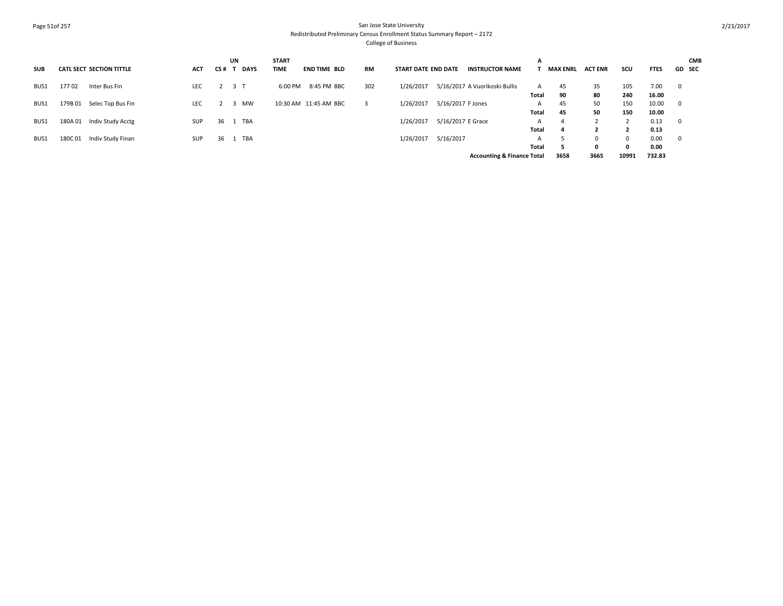## Page 51of 257 San Jose State University Redistributed Preliminary Census Enrollment Status Summary Report – 2172 College of Business

| <b>SUB</b> | <b>CATL SECT SECTION TITTLE</b> | <b>ACT</b> | UN<br><b>DAYS</b><br>CS# | <b>START</b><br>TIME | <b>END TIME BLD</b>   | RM  | <b>START DATE END DATE</b> |                   | <b>INSTRUCTOR NAME</b>                | A            | <b>MAX ENRL</b> | <b>ACT ENR</b> | scu      | <b>FTES</b> | <b>CMB</b><br>GD SEC |
|------------|---------------------------------|------------|--------------------------|----------------------|-----------------------|-----|----------------------------|-------------------|---------------------------------------|--------------|-----------------|----------------|----------|-------------|----------------------|
| BUS1       | 17702<br>Inter Bus Fin          | LEC        | 3 T                      | 6:00 PM              | 8:45 PM BBC           | 302 | 1/26/2017                  |                   | 5/16/2017 A Vuorikoski-Bullis         | A            | 45              | 35             | 105      | 7.00        | $\mathbf 0$          |
|            |                                 |            |                          |                      |                       |     |                            |                   |                                       | <b>Total</b> | 90              | 80             | 240      | 16.00       |                      |
| BUS1       | Selec Top Bus Fin<br>179B 01    | <b>LEC</b> | MW<br>್ರ                 |                      | 10:30 AM 11:45 AM BBC |     | 1/26/2017                  | 5/16/2017 F Jones |                                       | A            | 45              | 50             | 150      | 10.00       | $\mathbf 0$          |
|            |                                 |            |                          |                      |                       |     |                            |                   |                                       | <b>Total</b> | 45              | 50             | 150      | 10.00       |                      |
| BUS1       | Indiv Study Acctg<br>180A 01    | <b>SUP</b> | TBA<br>36                |                      |                       |     | 1/26/2017                  | 5/16/2017 E Grace |                                       |              | $\Delta$        |                |          | 0.13        | $\mathbf 0$          |
|            |                                 |            |                          |                      |                       |     |                            |                   |                                       | <b>Total</b> | $\mathbf{a}$    |                |          | 0.13        |                      |
| BUS1       | Indiv Study Finan<br>180C01     | SUP        | TBA<br>36                |                      |                       |     | 1/26/2017                  | 5/16/2017         |                                       | A            |                 |                | $\Omega$ | 0.00        | $\mathbf 0$          |
|            |                                 |            |                          |                      |                       |     |                            |                   |                                       | Total        |                 |                | 0        | 0.00        |                      |
|            |                                 |            |                          |                      |                       |     |                            |                   | <b>Accounting &amp; Finance Total</b> |              | 3658            | 3665           | 10991    | 732.83      |                      |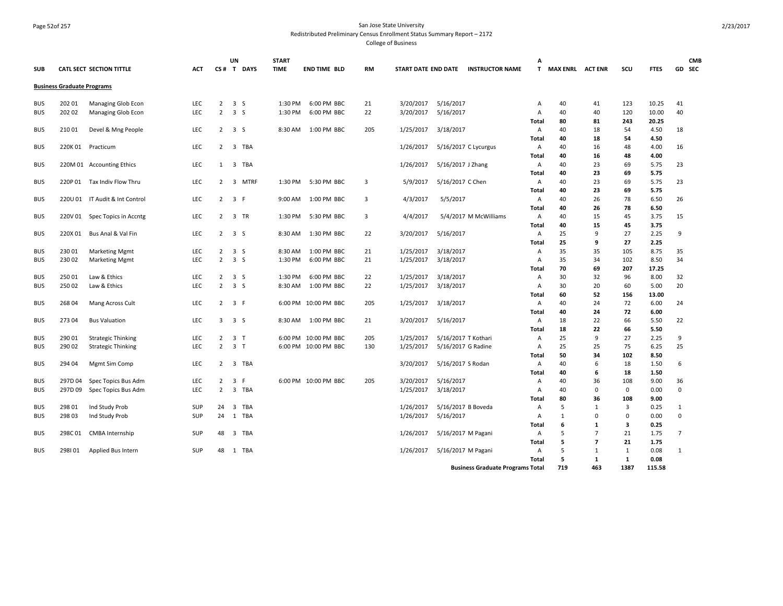## Page 52of 257 San Jose State University Redistributed Preliminary Census Enrollment Status Summary Report – 2172

|            |                                   |                                |            |                                  | <b>UN</b>                      | <b>START</b> |                      |           |                     |                     |                                         | А          |                    |                |              |               | <b>CMB</b>     |  |
|------------|-----------------------------------|--------------------------------|------------|----------------------------------|--------------------------------|--------------|----------------------|-----------|---------------------|---------------------|-----------------------------------------|------------|--------------------|----------------|--------------|---------------|----------------|--|
| <b>SUB</b> |                                   | CATL SECT SECTION TITTLE       | ACT        |                                  | CS# T DAYS                     | <b>TIME</b>  | <b>END TIME BLD</b>  | <b>RM</b> | START DATE END DATE |                     | <b>INSTRUCTOR NAME</b>                  |            | T MAX ENRL ACT ENR |                | scu          | <b>FTES</b>   | GD SEC         |  |
|            | <b>Business Graduate Programs</b> |                                |            |                                  |                                |              |                      |           |                     |                     |                                         |            |                    |                |              |               |                |  |
|            |                                   |                                |            |                                  |                                |              |                      |           |                     |                     |                                         |            |                    |                |              |               |                |  |
| BUS        | 202 01                            | Managing Glob Econ             | LEC        | $\overline{2}$<br>$\overline{2}$ | $\overline{\mathbf{3}}$<br>S   | 1:30 PM      | 6:00 PM BBC          | 21        | 3/20/2017           | 5/16/2017           |                                         | Α          | 40                 | 41             | 123          | 10.25         | 41<br>40       |  |
| <b>BUS</b> | 20202                             | Managing Glob Econ             | LEC        |                                  | $\overline{\mathbf{3}}$<br>S   | 1:30 PM      | 6:00 PM BBC          | 22        | 3/20/2017           | 5/16/2017           |                                         | Α          | 40                 | 40             | 120          | 10.00         |                |  |
| <b>BUS</b> | 21001                             |                                | LEC        |                                  | $2 \quad 3 \quad S$            | 8:30 AM      | 1:00 PM BBC          | 205       | 1/25/2017           |                     |                                         | Total      | 80<br>40           | 81<br>18       | 243<br>54    | 20.25<br>4.50 | 18             |  |
|            |                                   | Devel & Mng People             |            |                                  |                                |              |                      |           |                     | 3/18/2017           |                                         | Α<br>Total | 40                 | 18             | 54           | 4.50          |                |  |
| <b>BUS</b> | 220K01                            | Practicum                      | LEC        | $2^{\circ}$                      | 3 TBA                          |              |                      |           | 1/26/2017           |                     |                                         | Α          | 40                 | 16             | 48           | 4.00          | 16             |  |
|            |                                   |                                |            |                                  |                                |              |                      |           |                     |                     | 5/16/2017 C Lycurgus                    | Total      | 40                 | 16             | 48           | 4.00          |                |  |
| <b>BUS</b> |                                   | 220M 01 Accounting Ethics      | LEC        |                                  | 1 3 TBA                        |              |                      |           | 1/26/2017           | 5/16/2017 J Zhang   |                                         | Α          | 40                 | 23             | 69           | 5.75          | 23             |  |
|            |                                   |                                |            |                                  |                                |              |                      |           |                     |                     |                                         | Total      | 40                 | 23             | 69           | 5.75          |                |  |
| BUS        | 220P 01                           | Tax Indiv Flow Thru            | <b>LEC</b> | $\overline{2}$                   | $\overline{3}$<br>MTRF         | 1:30 PM      | 5:30 PM BBC          | 3         | 5/9/2017            | 5/16/2017 C Chen    |                                         | Α          | 40                 | 23             | 69           | 5.75          | 23             |  |
|            |                                   |                                |            |                                  |                                |              |                      |           |                     |                     |                                         | Total      | 40                 | 23             | 69           | 5.75          |                |  |
| <b>BUS</b> |                                   | 220U 01 IT Audit & Int Control | LEC        | $\overline{2}$                   | 3 F                            | 9:00 AM      | 1:00 PM BBC          | 3         | 4/3/2017            | 5/5/2017            |                                         | Α          | 40                 | 26             | 78           | 6.50          | 26             |  |
|            |                                   |                                |            |                                  |                                |              |                      |           |                     |                     |                                         | Total      | 40                 | 26             | 78           | 6.50          |                |  |
| <b>BUS</b> | 220V 01                           | Spec Topics in Accntg          | LEC        | 2                                | 3 TR                           | 1:30 PM      | 5:30 PM BBC          | 3         | 4/4/2017            |                     | 5/4/2017 M McWilliams                   | Α          | 40                 | 15             | 45           | 3.75          | 15             |  |
|            |                                   |                                |            |                                  |                                |              |                      |           |                     |                     |                                         | Total      | 40                 | 15             | 45           | 3.75          |                |  |
| <b>BUS</b> | 220X 01                           | Bus Anal & Val Fin             | <b>LEC</b> | $\overline{2}$                   | 3S                             | 8:30 AM      | 1:30 PM BBC          | 22        | 3/20/2017           | 5/16/2017           |                                         | Α          | 25                 | 9              | 27           | 2.25          | 9              |  |
|            |                                   |                                |            |                                  |                                |              |                      |           |                     |                     |                                         | Total      | 25                 | 9              | 27           | 2.25          |                |  |
| <b>BUS</b> | 23001                             | <b>Marketing Mgmt</b>          | LEC        | $\overline{2}$                   | 3 <sub>5</sub>                 | 8:30 AM      | 1:00 PM BBC          | 21        | 1/25/2017           | 3/18/2017           |                                         | Α          | 35                 | 35             | 105          | 8.75          | 35             |  |
| BUS        | 23002                             | <b>Marketing Mgmt</b>          | LEC        | $\overline{2}$                   | $\overline{\mathbf{3}}$<br>S   | 1:30 PM      | 6:00 PM BBC          | 21        | 1/25/2017           | 3/18/2017           |                                         | Α          | 35                 | 34             | 102          | 8.50          | 34             |  |
|            |                                   |                                |            |                                  |                                |              |                      |           |                     |                     |                                         | Total      | 70                 | 69             | 207          | 17.25         |                |  |
| BUS        | 25001                             | Law & Ethics                   | <b>LEC</b> | $\overline{2}$                   | 3 <sub>5</sub>                 | 1:30 PM      | 6:00 PM BBC          | 22        | 1/25/2017           | 3/18/2017           |                                         | А          | 30                 | 32             | 96           | 8.00          | 32             |  |
| <b>BUS</b> | 25002                             | Law & Ethics                   | LEC        | $\overline{2}$                   | 3 <sub>5</sub>                 | 8:30 AM      | 1:00 PM BBC          | 22        | 1/25/2017           | 3/18/2017           |                                         | Α          | 30                 | 20             | 60           | 5.00          | 20             |  |
|            |                                   |                                |            |                                  |                                |              |                      |           |                     |                     |                                         | Total      | 60                 | 52             | 156          | 13.00         |                |  |
| <b>BUS</b> | 26804                             | Mang Across Cult               | <b>LEC</b> |                                  | $2 \quad 3 \quad F$            |              | 6:00 PM 10:00 PM BBC | 205       | 1/25/2017           | 3/18/2017           |                                         | Α          | 40                 | 24             | 72           | 6.00          | 24             |  |
|            |                                   |                                |            |                                  |                                |              |                      |           |                     |                     |                                         | Total      | 40                 | 24             | 72           | 6.00          |                |  |
| <b>BUS</b> | 27304                             | <b>Bus Valuation</b>           | LEC        |                                  | $3 \quad 3 \quad S$            | 8:30 AM      | 1:00 PM BBC          | 21        | 3/20/2017           | 5/16/2017           |                                         | Α          | 18                 | 22             | 66           | 5.50          | 22             |  |
|            |                                   |                                |            |                                  |                                |              |                      |           |                     |                     |                                         | Total      | 18                 | 22             | 66           | 5.50          |                |  |
| <b>BUS</b> | 290 01                            | <b>Strategic Thinking</b>      | <b>LEC</b> | $\overline{2}$                   | 3 <sub>1</sub>                 |              | 6:00 PM 10:00 PM BBC | 205       | 1/25/2017           | 5/16/2017 T Kothari |                                         | Α          | 25                 | 9              | 27           | 2.25          | 9              |  |
| <b>BUS</b> | 290 02                            | <b>Strategic Thinking</b>      | <b>LEC</b> | $\overline{2}$                   | 3 <sub>T</sub>                 |              | 6:00 PM 10:00 PM BBC | 130       | 1/25/2017           | 5/16/2017 G Radine  |                                         | А          | 25                 | 25             | 75           | 6.25          | 25             |  |
|            |                                   |                                |            |                                  |                                |              |                      |           |                     |                     |                                         | Total      | 50                 | 34             | 102          | 8.50          |                |  |
| <b>BUS</b> | 294 04                            | Mgmt Sim Comp                  | LEC        | $\mathbf{2}$                     | 3 TBA                          |              |                      |           | 3/20/2017           | 5/16/2017 S Rodan   |                                         | А          | 40                 | 6              | 18           | 1.50          | 6              |  |
|            |                                   |                                |            |                                  |                                |              |                      |           |                     |                     |                                         | Total      | 40                 | 6              | 18           | 1.50          |                |  |
| <b>BUS</b> | 297D 04                           | Spec Topics Bus Adm            | LEC        | $\overline{2}$                   | 3<br>- F                       |              | 6:00 PM 10:00 PM BBC | 205       | 3/20/2017           | 5/16/2017           |                                         | А          | 40                 | 36             | 108          | 9.00          | 36             |  |
| <b>BUS</b> | 297D09                            | Spec Topics Bus Adm            | LEC        | $\overline{2}$                   | $\overline{3}$<br>TBA          |              |                      |           | 1/25/2017           | 3/18/2017           |                                         | Α          | 40                 | $\mathbf 0$    | $\mathbf 0$  | 0.00          | $\mathbf 0$    |  |
|            |                                   |                                |            |                                  |                                |              |                      |           |                     |                     |                                         | Total      | 80                 | 36             | 108          | 9.00          |                |  |
| <b>BUS</b> | 298 01                            | Ind Study Prob                 | SUP        | 24                               | TBA<br>$\overline{\mathbf{3}}$ |              |                      |           | 1/26/2017           | 5/16/2017 B Boveda  |                                         | A          | 5                  | 1              | 3            | 0.25          | 1              |  |
| BUS        | 298 03                            | Ind Study Prob                 | <b>SUP</b> | 24                               | 1 TBA                          |              |                      |           | 1/26/2017           | 5/16/2017           |                                         | Α          | $\mathbf{1}$       | 0              | $\Omega$     | 0.00          | $\mathbf 0$    |  |
|            |                                   |                                |            |                                  |                                |              |                      |           |                     |                     |                                         | Total      | 6                  | 1              | 3            | 0.25          |                |  |
| BUS        | 298C01                            | CMBA Internship                | <b>SUP</b> | 48                               | 3<br>TBA                       |              |                      |           | 1/26/2017           | 5/16/2017 M Pagani  |                                         | Α          | 5                  | $\overline{7}$ | 21           | 1.75          | $\overline{7}$ |  |
|            |                                   |                                |            |                                  |                                |              |                      |           |                     |                     |                                         | Total      | 5                  | $\overline{7}$ | 21           | 1.75          |                |  |
| <b>BUS</b> | 298101                            | Applied Bus Intern             | SUP        | 48                               | 1 TBA                          |              |                      |           | 1/26/2017           | 5/16/2017 M Pagani  |                                         | Α          | 5                  | 1              | 1            | 0.08          | 1              |  |
|            |                                   |                                |            |                                  |                                |              |                      |           |                     |                     |                                         | Total      | 5                  | 1              | $\mathbf{1}$ | 0.08          |                |  |
|            |                                   |                                |            |                                  |                                |              |                      |           |                     |                     | <b>Business Graduate Programs Total</b> |            | 719                | 463            | 1387         | 115.58        |                |  |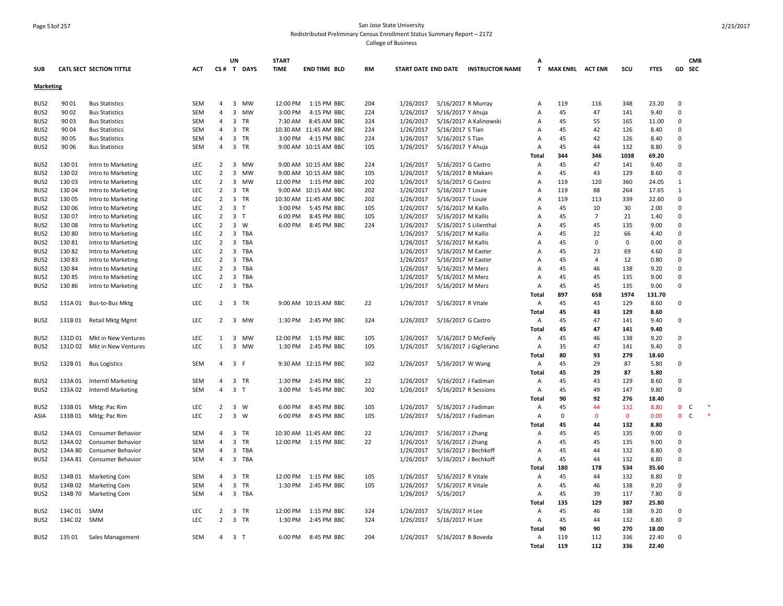## Page 53of 257 San Jose State University Redistributed Preliminary Census Enrollment Status Summary Report – 2172

|                  |             |                            |            |                | UN                             | <b>START</b> |                       |     |           |                    |                                     | A              |                         |                |              |             |              | <b>CMB</b> |
|------------------|-------------|----------------------------|------------|----------------|--------------------------------|--------------|-----------------------|-----|-----------|--------------------|-------------------------------------|----------------|-------------------------|----------------|--------------|-------------|--------------|------------|
| <b>SUB</b>       |             | CATL SECT SECTION TITTLE   | <b>ACT</b> |                | CS# T DAYS                     | <b>TIME</b>  | END TIME BLD          | RM  |           |                    | START DATE END DATE INSTRUCTOR NAME | T.             | <b>MAX ENRL ACT ENR</b> |                | scu          | <b>FTES</b> | GD SEC       |            |
| <b>Marketing</b> |             |                            |            |                |                                |              |                       |     |           |                    |                                     |                |                         |                |              |             |              |            |
| BUS2             | 90 01       | <b>Bus Statistics</b>      | SEM        | 4              | 3<br>MW                        | 12:00 PM     | 1:15 PM BBC           | 204 | 1/26/2017 |                    | 5/16/2017 R Murray                  | A              | 119                     | 116            | 348          | 23.20       | $\mathbf 0$  |            |
| BUS <sub>2</sub> | 90 02       | <b>Bus Statistics</b>      | <b>SEM</b> | $\overline{4}$ | 3<br>MW                        | 3:00 PM      | 4:15 PM BBC           | 224 | 1/26/2017 | 5/16/2017 Y Ahuja  |                                     | A              | 45                      | 47             | 141          | 9.40        | $\Omega$     |            |
| BUS <sub>2</sub> | 9003        | <b>Bus Statistics</b>      | SEM        | $\overline{4}$ | $\overline{3}$<br><b>TR</b>    | 7:30 AM      | 8:45 AM BBC           | 324 | 1/26/2017 |                    | 5/16/2017 A Kalinowski              | A              | 45                      | 55             | 165          | 11.00       | $\mathbf{0}$ |            |
| BUS2             | 90 04       | <b>Bus Statistics</b>      | SEM        | 4              | 3<br>TR                        |              | 10:30 AM 11:45 AM BBC | 224 | 1/26/2017 | 5/16/2017 S Tian   |                                     | A              | 45                      | 42             | 126          | 8.40        | $\mathbf 0$  |            |
| BUS2             | 90 05       | <b>Bus Statistics</b>      | SEM        | 4              | 3<br>TR                        | 3:00 PM      | 4:15 PM BBC           | 224 | 1/26/2017 | 5/16/2017 S Tian   |                                     | A              | 45                      | 42             | 126          | 8.40        | $\mathbf 0$  |            |
| BUS2             | 90 06       | <b>Bus Statistics</b>      | <b>SEM</b> | $\overline{4}$ | $\overline{3}$<br><b>TR</b>    |              | 9:00 AM 10:15 AM BBC  | 105 | 1/26/2017 | 5/16/2017 Y Ahuja  |                                     | $\Delta$       | 45                      | 44             | 132          | 8.80        | $\Omega$     |            |
|                  |             |                            |            |                |                                |              |                       |     |           |                    |                                     | Total          | 344                     | 346            | 1038         | 69.20       |              |            |
| BUS2             | 13001       | Intro to Marketing         | LEC        | 2              | $\overline{3}$<br><b>MW</b>    |              | 9:00 AM 10:15 AM BBC  | 224 | 1/26/2017 | 5/16/2017 G Castro |                                     | A              | 45                      | 47             | 141          | 9.40        | $\mathbf{0}$ |            |
| BUS2             | 13002       | Intro to Marketing         | LEC        | $\overline{2}$ | 3<br>MW                        |              | 9:00 AM 10:15 AM BBC  | 105 | 1/26/2017 |                    | 5/16/2017 B Makani                  | A              | 45                      | 43             | 129          | 8.60        | $\mathbf 0$  |            |
| BUS <sub>2</sub> | 13003       | Intro to Marketing         | LEC        | $\overline{2}$ | 3<br>MW                        | 12:00 PM     | 1:15 PM BBC           | 202 | 1/26/2017 | 5/16/2017 G Castro |                                     | $\overline{A}$ | 119                     | 120            | 360          | 24.05       | 1            |            |
| BUS <sub>2</sub> | 13004       | Intro to Marketing         | LEC        | $\overline{2}$ | $\overline{3}$<br><b>TR</b>    |              | 9:00 AM 10:15 AM BBC  | 202 | 1/26/2017 | 5/16/2017 T Louie  |                                     | $\overline{A}$ | 119                     | 88             | 264          | 17.65       | $\mathbf{1}$ |            |
| BUS <sub>2</sub> | 13005       | Intro to Marketing         | LEC        | $\overline{2}$ | 3<br>TR                        |              | 10:30 AM 11:45 AM BBC | 202 | 1/26/2017 | 5/16/2017 T Louie  |                                     | $\overline{A}$ | 119                     | 113            | 339          | 22.60       | $\mathsf 0$  |            |
| BUS2             | 13006       | Intro to Marketing         | LEC        | 2              | 3<br>$\top$                    | 3:00 PM      | 5:45 PM BBC           | 105 | 1/26/2017 | 5/16/2017 M Kallis |                                     | A              | 45                      | 10             | 30           | 2.00        | $\mathbf 0$  |            |
| BUS <sub>2</sub> | 13007       | Intro to Marketing         | LEC        | $\overline{2}$ | $\overline{3}$<br>$\mathsf{T}$ | 6:00 PM      | 8:45 PM BBC           | 105 | 1/26/2017 | 5/16/2017 M Kallis |                                     | $\Delta$       | 45                      | $\overline{7}$ | 21           | 1.40        | $\mathbf{0}$ |            |
| BUS2             | 13008       | Intro to Marketing         | LEC        | $\overline{2}$ | $\overline{3}$<br>W            | 6:00 PM      | 8:45 PM BBC           | 224 | 1/26/2017 |                    | 5/16/2017 S Lilienthal              | A              | 45                      | 45             | 135          | 9.00        | $\mathsf 0$  |            |
| BUS2             | 13080       | Intro to Marketing         | LEC        | 2              | $\overline{3}$<br>TBA          |              |                       |     | 1/26/2017 | 5/16/2017 M Kallis |                                     | A              | 45                      | 22             | 66           | 4.40        | $\mathbf{0}$ |            |
| BUS <sub>2</sub> | 13081       | Intro to Marketing         | LEC        | $\overline{2}$ | $\overline{3}$<br>TBA          |              |                       |     | 1/26/2017 | 5/16/2017 M Kallis |                                     | $\overline{A}$ | 45                      | $\Omega$       | $\mathbf 0$  | 0.00        | $\Omega$     |            |
| BUS2             | 13082       | Intro to Marketing         | LEC        | $\overline{2}$ | 3<br>TBA                       |              |                       |     | 1/26/2017 | 5/16/2017 M Easter |                                     | $\overline{A}$ | 45                      | 23             | 69           | 4.60        | $\mathbf 0$  |            |
| BUS <sub>2</sub> | 13083       | Intro to Marketing         | LEC        | 2              | TBA<br>3                       |              |                       |     | 1/26/2017 | 5/16/2017 M Easter |                                     | $\overline{A}$ | 45                      | 4              | 12           | 0.80        | $\mathbf{0}$ |            |
| BUS <sub>2</sub> | 13084       | Intro to Marketing         | LEC        | $\overline{2}$ | 3<br>TBA                       |              |                       |     | 1/26/2017 | 5/16/2017 M Merz   |                                     | $\overline{A}$ | 45                      | 46             | 138          | 9.20        | $\Omega$     |            |
| BUS2             | 13085       | Intro to Marketing         | LEC        | 2              | 3<br>TBA                       |              |                       |     | 1/26/2017 | 5/16/2017 M Merz   |                                     | A              | 45                      | 45             | 135          | 9.00        | $\Omega$     |            |
| BUS2             | 13086       | Intro to Marketing         | LEC        | $\overline{2}$ | $\overline{3}$<br>TBA          |              |                       |     | 1/26/2017 | 5/16/2017 M Merz   |                                     | $\overline{A}$ | 45                      | 45             | 135          | 9.00        | $\Omega$     |            |
|                  |             |                            |            |                |                                |              |                       |     |           |                    |                                     | Total          | 897                     | 658            | 1974         | 131.70      |              |            |
| BUS2             |             | 131A 01 Bus-to-Bus Mktg    | LEC        |                | 2 3 TR                         |              | 9:00 AM 10:15 AM BBC  | 22  | 1/26/2017 | 5/16/2017 R Vitale |                                     | A              | 45                      | 43             | 129          | 8.60        | 0            |            |
|                  |             |                            |            |                |                                |              |                       |     |           |                    |                                     | Total          | 45                      | 43             | 129          | 8.60        |              |            |
| BUS2             |             | 131B 01 Retail Mktg Mgmt   | LEC        | $\overline{2}$ | $\overline{\mathbf{3}}$<br>MW  | 1:30 PM      | 2:45 PM BBC           | 324 | 1/26/2017 | 5/16/2017 G Castro |                                     | A              | 45                      | 47             | 141          | 9.40        | $\mathbf 0$  |            |
|                  |             |                            |            |                |                                |              |                       |     |           |                    |                                     | Total          | 45                      | 47             | 141          | 9.40        |              |            |
| BUS2             | 131D 01     | Mkt in New Ventures        | LEC        | 1              | 3<br>MW                        | 12:00 PM     | 1:15 PM BBC           | 105 | 1/26/2017 |                    | 5/16/2017 D McFeely                 | Α              | 45                      | 46             | 138          | 9.20        | $\Omega$     |            |
| BUS2             | 131D 02     | Mkt in New Ventures        | LEC        | $\mathbf{1}$   | 3<br>MW                        | 1:30 PM      | 2:45 PM BBC           | 105 | 1/26/2017 |                    | 5/16/2017 J Giglierano              | A              | 35                      | 47             | 141          | 9.40        | $\mathbf 0$  |            |
|                  |             |                            |            |                |                                |              |                       |     |           |                    |                                     | Total          | 80                      | 93             | 279          | 18.60       |              |            |
| BUS2             |             | 132B 01 Bus Logistics      | SEM        | $\overline{a}$ | 3<br>F                         |              | 9:30 AM 12:15 PM BBC  | 302 | 1/26/2017 | 5/16/2017 W Wang   |                                     | A              | 45                      | 29             | 87           | 5.80        | $\mathbf 0$  |            |
|                  |             |                            |            |                |                                |              |                       |     |           |                    |                                     | Total          | 45                      | 29             | 87           | 5.80        |              |            |
| BUS2             |             | 133A 01 Interntl Marketing | SEM        | $\overline{4}$ | 3 TR                           | 1:30 PM      | 2:45 PM BBC           | 22  | 1/26/2017 |                    | 5/16/2017 J Fadiman                 | A              | 45                      | 43             | 129          | 8.60        | $\Omega$     |            |
| BUS2             |             | 133A 02 Interntl Marketing | SEM        | $\overline{4}$ | $\overline{3}$<br>$\mathsf{T}$ | 3:00 PM      | 5:45 PM BBC           | 302 | 1/26/2017 |                    | 5/16/2017 R Sessions                | A              | 45                      | 49             | 147          | 9.80        | $\mathbf{0}$ |            |
|                  |             |                            |            |                |                                |              |                       |     |           |                    |                                     | Total          | 90                      | 92             | 276          | 18.40       |              |            |
| BUS <sub>2</sub> |             | 133B 01 Mktg: Pac Rim      | LEC        | 2              | $\overline{3}$<br>W            | 6:00 PM      | 8:45 PM BBC           | 105 | 1/26/2017 |                    | 5/16/2017 J Fadiman                 | A              | 45                      | 44             | 132          | 8.80        | $\mathbf{0}$ | C          |
| ASIA             |             | 133B 01 Mktg: Pac Rim      | LEC        | $\overline{2}$ | $\overline{3}$<br>W            | 6:00 PM      | 8:45 PM BBC           | 105 | 1/26/2017 |                    | 5/16/2017 J Fadiman                 | A              | $\Omega$                | $\mathbf{0}$   | $\mathbf{0}$ | 0.00        | $\mathbf{0}$ | C          |
|                  |             |                            |            |                |                                |              |                       |     |           |                    |                                     | Total          | 45                      | 44             | 132          | 8.80        |              |            |
| BUS2             | 134A 01     | Consumer Behavior          | SEM        | $\overline{4}$ | $\overline{3}$<br><b>TR</b>    |              | 10:30 AM 11:45 AM BBC | 22  | 1/26/2017 | 5/16/2017 J Zhang  |                                     | $\overline{A}$ | 45                      | 45             | 135          | 9.00        | $\mathbf{0}$ |            |
| BUS2             | 134A 02     | Consumer Behavior          | SEM        | $\overline{a}$ | $\overline{\mathbf{3}}$<br>TR  | 12:00 PM     | 1:15 PM BBC           | 22  | 1/26/2017 | 5/16/2017 J Zhang  |                                     | A              | 45                      | 45             | 135          | 9.00        | $\mathsf 0$  |            |
| BUS <sub>2</sub> | 134A 80     | <b>Consumer Behavior</b>   | SEM        | 4              | 3<br>TBA                       |              |                       |     | 1/26/2017 |                    | 5/16/2017 J Bechkoff                | Α              | 45                      | 44             | 132          | 8.80        | $\Omega$     |            |
| BUS2             |             | 134A 81 Consumer Behavior  | SEM        | $\overline{4}$ | 3 TBA                          |              |                       |     | 1/26/2017 |                    | 5/16/2017 J Bechkoff                | A              | 45                      | 44             | 132          | 8.80        | $\mathbf 0$  |            |
|                  |             |                            |            |                |                                |              |                       |     |           |                    |                                     | Total          | 180                     | 178            | 534          | 35.60       |              |            |
| BUS <sub>2</sub> | 134B 01     | <b>Marketing Com</b>       | SEM        | $\overline{a}$ | 3<br>TR                        | 12:00 PM     | 1:15 PM BBC           | 105 | 1/26/2017 | 5/16/2017 R Vitale |                                     | Α              | 45                      | 44             | 132          | 8.80        | $\Omega$     |            |
| BUS <sub>2</sub> | 134B02      | <b>Marketing Com</b>       | SEM        | 4              | 3<br>TR                        | 1:30 PM      | 2:45 PM BBC           | 105 | 1/26/2017 | 5/16/2017 R Vitale |                                     | A              | 45                      | 46             | 138          | 9.20        | $\mathbf 0$  |            |
| BUS <sub>2</sub> |             | 134B 70 Marketing Com      | <b>SEM</b> | $\overline{4}$ | 3 TBA                          |              |                       |     | 1/26/2017 | 5/16/2017          |                                     | A              | 45                      | 39             | 117          | 7.80        | $\mathbf 0$  |            |
|                  |             |                            |            |                |                                |              |                       |     |           |                    |                                     | Total          | 135                     | 129            | 387          | 25.80       |              |            |
| BUS <sub>2</sub> | 134C 01 SMM |                            | LEC        | $\overline{2}$ | 3<br>TR                        | 12:00 PM     | 1:15 PM BBC           | 324 | 1/26/2017 | 5/16/2017 H Lee    |                                     | A              | 45                      | 46             | 138          | 9.20        | $\mathbf 0$  |            |
| BUS <sub>2</sub> | 134C02 SMM  |                            | <b>LEC</b> | $\overline{2}$ | $\overline{3}$<br>TR           | 1:30 PM      | 2:45 PM BBC           | 324 | 1/26/2017 | 5/16/2017 H Lee    |                                     | A              | 45                      | 44             | 132          | 8.80        | $\Omega$     |            |
|                  |             |                            |            |                |                                |              |                       |     |           |                    |                                     | Total          | 90                      | 90             | 270          | 18.00       |              |            |
| BUS2             | 135 01      | Sales Management           | <b>SEM</b> | $\Delta$       | 3 <sub>1</sub>                 | 6:00 PM      | 8:45 PM BBC           | 204 | 1/26/2017 | 5/16/2017 B Boveda |                                     | A              | 119                     | 112            | 336          | 22.40       | $\Omega$     |            |
|                  |             |                            |            |                |                                |              |                       |     |           |                    |                                     | Total          | 119                     | 112            | 336          | 22.40       |              |            |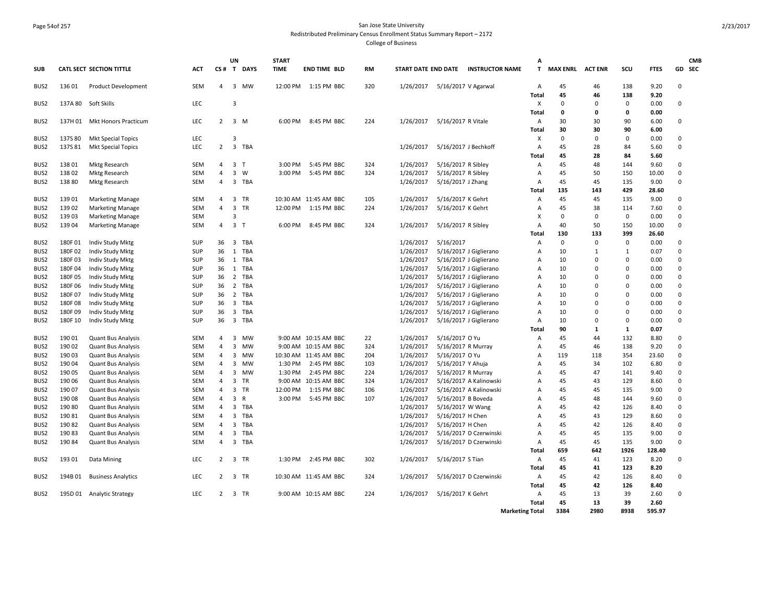#### Page 54of 257 San Jose State University Redistributed Preliminary Census Enrollment Status Summary Report – 2172

|                  |         |                             |            |                | UN                      |              | <b>START</b> |                          |           |                     |                      |                        | A                 |                         |             |             |              | <b>CMB</b>  |
|------------------|---------|-----------------------------|------------|----------------|-------------------------|--------------|--------------|--------------------------|-----------|---------------------|----------------------|------------------------|-------------------|-------------------------|-------------|-------------|--------------|-------------|
| <b>SUB</b>       |         | CATL SECT SECTION TITTLE    | <b>ACT</b> |                |                         | CS# T DAYS   | <b>TIME</b>  | <b>END TIME BLD</b>      | <b>RM</b> | START DATE END DATE |                      | <b>INSTRUCTOR NAME</b> | T.                | <b>MAX ENRL ACT ENR</b> |             | SCU         | <b>FTES</b>  | GD SEC      |
| BUS <sub>2</sub> | 13601   | <b>Product Development</b>  | SEM        | $\overline{4}$ |                         | 3 MW         |              | 12:00 PM   1:15 PM   BBC | 320       | 1/26/2017           | 5/16/2017 V Agarwal  |                        | Α<br><b>Total</b> | 45<br>45                | 46<br>46    | 138<br>138  | 9.20<br>9.20 | $\mathbf 0$ |
| BUS <sub>2</sub> | 137A 80 | Soft Skills                 | LEC        |                | $\overline{3}$          |              |              |                          |           |                     |                      |                        | X                 | $\mathbf{0}$            | $\Omega$    | 0           | 0.00         | $\Omega$    |
|                  |         |                             |            |                |                         |              |              |                          |           |                     |                      |                        | Total             | 0                       | $\mathbf 0$ | 0           | 0.00         |             |
| BUS <sub>2</sub> | 137H 01 | <b>Mkt Honors Practicum</b> | LEC        | 2              |                         | $3 \, M$     | 6:00 PM      | 8:45 PM BBC              | 224       | 1/26/2017           | 5/16/2017 R Vitale   |                        | Α                 | 30                      | 30          | 90          | 6.00         | $\mathbf 0$ |
|                  |         |                             |            |                |                         |              |              |                          |           |                     |                      |                        | Total             | 30                      | 30          | 90          | 6.00         |             |
| BUS <sub>2</sub> | 137S80  | Mkt Special Topics          | LEC        |                | $\overline{3}$          |              |              |                          |           |                     |                      |                        | X                 | $\mathbf{0}$            | 0           | $\mathbf 0$ | 0.00         | $\mathsf 0$ |
| BUS <sub>2</sub> | 137S81  | <b>Mkt Special Topics</b>   | LEC        | $\overline{2}$ | $\overline{\mathbf{3}}$ | TBA          |              |                          |           | 1/26/2017           | 5/16/2017 J Bechkoff |                        | A                 | 45                      | 28          | 84          | 5.60         | $\Omega$    |
|                  |         |                             |            |                |                         |              |              |                          |           |                     |                      |                        | Total             | 45                      | 28          | 84          | 5.60         |             |
| BUS <sub>2</sub> | 13801   | <b>Mktg Research</b>        | SEM        | $\overline{4}$ | 3                       | $\mathsf{T}$ | 3:00 PM      | 5:45 PM BBC              | 324       | 1/26/2017           | 5/16/2017 R Sibley   |                        | Α                 | 45                      | 48          | 144         | 9.60         | $\mathbf 0$ |
| BUS <sub>2</sub> | 13802   | <b>Mktg Research</b>        | SEM        | $\overline{4}$ | $\mathbf{3}$            | W            | 3:00 PM      | 5:45 PM BBC              | 324       | 1/26/2017           | 5/16/2017 R Sibley   |                        | А                 | 45                      | 50          | 150         | 10.00        | $\Omega$    |
| BUS <sub>2</sub> | 13880   | <b>Mktg Research</b>        | SEM        | $\overline{4}$ | $\overline{3}$          | TBA          |              |                          |           | 1/26/2017           | 5/16/2017 J Zhang    |                        | A                 | 45                      | 45          | 135         | 9.00         | $\mathbf 0$ |
|                  |         |                             |            |                |                         |              |              |                          |           |                     |                      |                        | Total             | 135                     | 143         | 429         | 28.60        |             |
| BUS <sub>2</sub> | 13901   | <b>Marketing Manage</b>     | <b>SEM</b> | $\overline{4}$ | 3                       | TR           |              | 10:30 AM 11:45 AM BBC    | 105       | 1/26/2017           | 5/16/2017 K Gehrt    |                        | Α                 | 45                      | 45          | 135         | 9.00         | 0           |
| BUS2             | 13902   | <b>Marketing Manage</b>     | SEM        | $\overline{4}$ | $\overline{\mathbf{3}}$ | TR           | 12:00 PM     | 1:15 PM BBC              | 224       | 1/26/2017           | 5/16/2017 K Gehrt    |                        | Α                 | 45                      | 38          | 114         | 7.60         | $\mathbf 0$ |
| BUS <sub>2</sub> | 13903   | <b>Marketing Manage</b>     | SEM        |                | 3                       |              |              |                          |           |                     |                      |                        | Χ                 | $\mathbf{0}$            | $\mathbf 0$ | 0           | 0.00         | $\mathbf 0$ |
| BUS <sub>2</sub> | 13904   | <b>Marketing Manage</b>     | SEM        | 4              | 3                       | $\top$       | 6:00 PM      | 8:45 PM BBC              | 324       | 1/26/2017           | 5/16/2017 R Sibley   |                        | A                 | 40                      | 50          | 150         | 10.00        | $\pmb{0}$   |
|                  |         |                             |            |                |                         |              |              |                          |           |                     |                      |                        | Total             | 130                     | 133         | 399         | 26.60        |             |
| BUS <sub>2</sub> | 180F01  | Indiv Study Mktg            | <b>SUP</b> | 36             | 3                       | TBA          |              |                          |           | 1/26/2017           | 5/16/2017            |                        | A                 | $\mathbf{0}$            | $\Omega$    | $\mathbf 0$ | 0.00         | $\Omega$    |
| BUS <sub>2</sub> | 180F02  | Indiv Study Mktg            | <b>SUP</b> | 36             | 1                       | TBA          |              |                          |           | 1/26/2017           |                      | 5/16/2017 J Giglierano | A                 | 10                      | 1           | 1           | 0.07         | $\mathbf 0$ |
| BUS <sub>2</sub> | 180F03  | Indiv Study Mktg            | SUP        | 36             |                         | 1 TBA        |              |                          |           | 1/26/2017           |                      | 5/16/2017 J Giglierano | Α                 | 10                      | $\Omega$    | $\mathbf 0$ | 0.00         | $\mathbf 0$ |
| BUS <sub>2</sub> | 180F04  | Indiv Study Mktg            | SUP        | 36             |                         | 1 TBA        |              |                          |           | 1/26/2017           |                      | 5/16/2017 J Giglierano | A                 | 10                      | $\Omega$    | $\Omega$    | 0.00         | $\Omega$    |
| BUS <sub>2</sub> | 180F05  | Indiv Study Mktg            | SUP        | 36             |                         | 2 TBA        |              |                          |           | 1/26/2017           |                      | 5/16/2017 J Giglierano | Α                 | 10                      | 0           | $\Omega$    | 0.00         | $\mathsf 0$ |
| BUS <sub>2</sub> | 180F06  | Indiv Study Mktg            | <b>SUP</b> | 36             |                         | 2 TBA        |              |                          |           | 1/26/2017           |                      | 5/16/2017 J Giglierano | A                 | 10                      | $\Omega$    | $\Omega$    | 0.00         | $\Omega$    |
| BUS <sub>2</sub> | 180F07  | <b>Indiv Study Mktg</b>     | <b>SUP</b> | 36             |                         | 2 TBA        |              |                          |           | 1/26/2017           |                      | 5/16/2017 J Giglierano | A                 | 10                      | $\Omega$    | $\Omega$    | 0.00         | $\Omega$    |
| BUS <sub>2</sub> | 180F08  | Indiv Study Mktg            | SUP        | 36             |                         | 3 TBA        |              |                          |           | 1/26/2017           |                      | 5/16/2017 J Giglierano | A                 | 10                      | $\Omega$    | $\Omega$    | 0.00         | $\mathbf 0$ |
| BUS <sub>2</sub> | 180F09  | <b>Indiv Study Mktg</b>     | <b>SUP</b> | 36             | $\overline{\mathbf{3}}$ | TBA          |              |                          |           | 1/26/2017           |                      | 5/16/2017 J Giglierano | A                 | 10                      | $\Omega$    | $\Omega$    | 0.00         | $\mathbf 0$ |
| BUS <sub>2</sub> | 180F 10 | Indiv Study Mktg            | <b>SUP</b> | 36             |                         | 3 TBA        |              |                          |           | 1/26/2017           |                      | 5/16/2017 J Giglierano | A                 | 10                      | $\Omega$    | $\mathbf 0$ | 0.00         | $\mathsf 0$ |
|                  |         |                             |            |                |                         |              |              |                          |           |                     |                      |                        | <b>Total</b>      | 90                      | 1           | 1           | 0.07         |             |
| BUS <sub>2</sub> | 19001   | <b>Quant Bus Analysis</b>   | SEM        | 4              | 3                       | MW           |              | 9:00 AM 10:15 AM BBC     | 22        | 1/26/2017           | 5/16/2017 O Yu       |                        | Α                 | 45                      | 44          | 132         | 8.80         | $\Omega$    |
| BUS <sub>2</sub> | 19002   | <b>Quant Bus Analysis</b>   | <b>SEM</b> | $\overline{4}$ | $\overline{\mathbf{3}}$ | MW           |              | 9:00 AM 10:15 AM BBC     | 324       | 1/26/2017           | 5/16/2017 R Murray   |                        | A                 | 45                      | 46          | 138         | 9.20         | $\mathbf 0$ |
| BUS <sub>2</sub> | 19003   | <b>Quant Bus Analysis</b>   | <b>SEM</b> | $\overline{a}$ | 3                       | <b>MW</b>    |              | 10:30 AM 11:45 AM BBC    | 204       | 1/26/2017           | 5/16/2017 O Yu       |                        | Α                 | 119                     | 118         | 354         | 23.60        | 0           |
| BUS <sub>2</sub> | 19004   | <b>Quant Bus Analysis</b>   | SEM        | $\overline{4}$ | 3                       | <b>MW</b>    | 1:30 PM      | 2:45 PM BBC              | 103       | 1/26/2017           | 5/16/2017 Y Ahuja    |                        | A                 | 45                      | 34          | 102         | 6.80         | 0           |
| BUS2             | 19005   | <b>Quant Bus Analysis</b>   | SEM        | $\overline{4}$ | $\overline{3}$          | MW           | 1:30 PM      | 2:45 PM BBC              | 224       | 1/26/2017           | 5/16/2017 R Murray   |                        | A                 | 45                      | 47          | 141         | 9.40         | $\pmb{0}$   |
| BUS <sub>2</sub> | 190 06  | <b>Quant Bus Analysis</b>   | SEM        | $\overline{4}$ | 3                       | <b>TR</b>    |              | 9:00 AM 10:15 AM BBC     | 324       | 1/26/2017           |                      | 5/16/2017 A Kalinowski | A                 | 45                      | 43          | 129         | 8.60         | $\mathbf 0$ |
| BUS <sub>2</sub> | 190 07  | <b>Quant Bus Analysis</b>   | SEM        | $\overline{4}$ | 3                       | TR           | 12:00 PM     | 1:15 PM BBC              | 106       | 1/26/2017           |                      | 5/16/2017 A Kalinowski | A                 | 45                      | 45          | 135         | 9.00         | $\mathbf 0$ |
| BUS <sub>2</sub> | 19008   | <b>Quant Bus Analysis</b>   | <b>SEM</b> | $\overline{4}$ | 3                       | $\mathsf{R}$ | 3:00 PM      | 5:45 PM BBC              | 107       | 1/26/2017           | 5/16/2017 B Boveda   |                        | A                 | 45                      | 48          | 144         | 9.60         | $\Omega$    |
| BUS <sub>2</sub> | 190 80  | <b>Quant Bus Analysis</b>   | SEM        | $\overline{a}$ | $\overline{3}$          | TBA          |              |                          |           | 1/26/2017           | 5/16/2017 W Wang     |                        | A                 | 45                      | 42          | 126         | 8.40         | $\mathbf 0$ |
| BUS <sub>2</sub> | 19081   | <b>Quant Bus Analysis</b>   | SEM        | $\overline{4}$ | 3                       | TBA          |              |                          |           | 1/26/2017           | 5/16/2017 H Chen     |                        | A                 | 45                      | 43          | 129         | 8.60         | $\mathbf 0$ |
| BUS2             | 19082   | <b>Quant Bus Analysis</b>   | SEM        | $\overline{4}$ | 3                       | TBA          |              |                          |           | 1/26/2017           | 5/16/2017 H Chen     |                        | A                 | 45                      | 42          | 126         | 8.40         | $\Omega$    |
| BUS <sub>2</sub> | 19083   | <b>Quant Bus Analysis</b>   | SEM        | $\overline{4}$ | 3                       | TBA          |              |                          |           | 1/26/2017           |                      | 5/16/2017 D Czerwinski | A                 | 45                      | 45          | 135         | 9.00         | $\Omega$    |
| BUS <sub>2</sub> | 19084   | <b>Quant Bus Analysis</b>   | SEM        | $\overline{4}$ | $\overline{3}$          | TBA          |              |                          |           | 1/26/2017           |                      | 5/16/2017 D Czerwinski | Α                 | 45                      | 45          | 135         | 9.00         | $\mathbf 0$ |
|                  |         |                             |            |                |                         |              |              |                          |           |                     |                      |                        | Total             | 659                     | 642         | 1926        | 128.40       |             |
| BUS <sub>2</sub> | 19301   | Data Mining                 | <b>LEC</b> | 2              | 3                       | TR           | 1:30 PM      | 2:45 PM BBC              | 302       | 1/26/2017           | 5/16/2017 S Tian     |                        | A                 | 45                      | 41          | 123         | 8.20         | 0           |
|                  |         |                             |            |                |                         |              |              |                          |           |                     |                      |                        | Total             | 45                      | 41          | 123         | 8.20         |             |
| BUS <sub>2</sub> | 194B 01 | <b>Business Analytics</b>   | <b>LEC</b> | 2              |                         | 3 TR         |              | 10:30 AM 11:45 AM BBC    | 324       | 1/26/2017           |                      | 5/16/2017 D Czerwinski | Α                 | 45                      | 42          | 126         | 8.40         | 0           |
|                  |         |                             |            |                |                         |              |              |                          |           |                     |                      |                        | Total             | 45                      | 42          | 126         | 8.40         |             |
| BUS2             |         | 195D 01 Analytic Strategy   | LEC        | $\overline{2}$ |                         | 3 TR         |              | 9:00 AM 10:15 AM BBC     | 224       | 1/26/2017           | 5/16/2017 K Gehrt    |                        | Α                 | 45                      | 13          | 39          | 2.60         | $\Omega$    |
|                  |         |                             |            |                |                         |              |              |                          |           |                     |                      |                        | Total             | 45                      | 13          | 39          | 2.60         |             |
|                  |         |                             |            |                |                         |              |              |                          |           |                     |                      | <b>Marketing Total</b> |                   | 3384                    | 2980        | 8938        | 595.97       |             |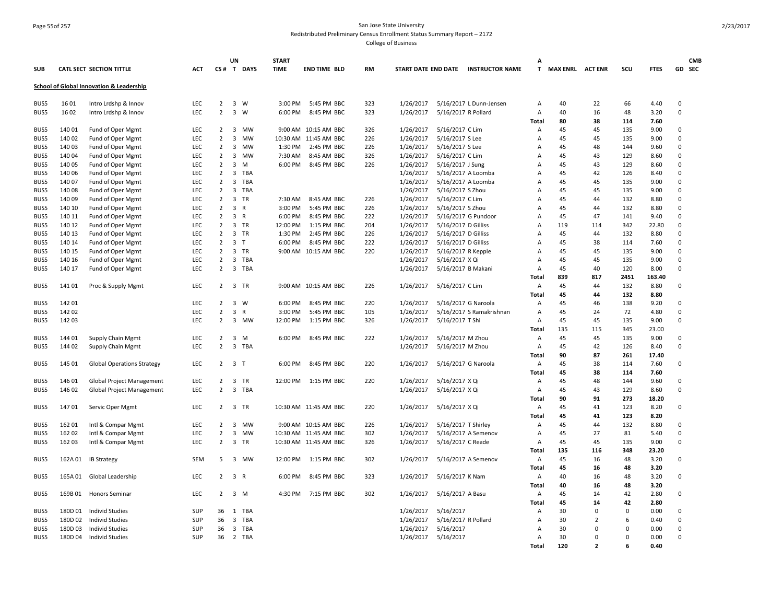#### Page 55of 257 San Jose State University Redistributed Preliminary Census Enrollment Status Summary Report – 2172

|            |         |                                                     |            |                | UN                      |                | <b>START</b> |                       |     |           |                     |                                     | А            |                         |                          |          |             |                         | <b>CMB</b> |
|------------|---------|-----------------------------------------------------|------------|----------------|-------------------------|----------------|--------------|-----------------------|-----|-----------|---------------------|-------------------------------------|--------------|-------------------------|--------------------------|----------|-------------|-------------------------|------------|
| <b>SUB</b> |         | CATL SECT SECTION TITTLE                            | ACT        |                |                         | CS# T DAYS     | <b>TIME</b>  | <b>END TIME BLD</b>   | RM  |           |                     | START DATE END DATE INSTRUCTOR NAME | T.           | <b>MAX ENRL ACT ENR</b> |                          | scu      | <b>FTES</b> |                         | GD SEC     |
|            |         | <b>School of Global Innovation &amp; Leadership</b> |            |                |                         |                |              |                       |     |           |                     |                                     |              |                         |                          |          |             |                         |            |
| BUS5       | 1601    | Intro Lrdshp & Innov                                | LEC        | $\overline{2}$ |                         | 3 W            | 3:00 PM      | 5:45 PM BBC           | 323 | 1/26/2017 |                     | 5/16/2017 L Dunn-Jensen             | Α            | 40                      | 22                       | 66       | 4.40        | $\mathbf 0$             |            |
| BUS5       | 1602    | Intro Lrdshp & Innov                                | LEC        | $\overline{2}$ | $\overline{\mathbf{3}}$ | W              | 6:00 PM      | 8:45 PM BBC           | 323 | 1/26/2017 | 5/16/2017 R Pollard |                                     | А            | 40                      | 16                       | 48       | 3.20        | $\mathbf 0$             |            |
|            |         |                                                     |            |                |                         |                |              |                       |     |           |                     |                                     | Total        | 80                      | 38                       | 114      | 7.60        |                         |            |
| BUS5       | 14001   | Fund of Oper Mgmt                                   | LEC        | $\overline{2}$ | $\overline{3}$          | MW             |              | 9:00 AM 10:15 AM BBC  | 326 | 1/26/2017 | 5/16/2017 C Lim     |                                     | A            | 45                      | 45                       | 135      | 9.00        | $\mathbf 0$             |            |
| BUS5       | 140 02  | Fund of Oper Mgmt                                   | LEC        | $\overline{2}$ | $\overline{\mathbf{3}}$ | <b>MW</b>      |              | 10:30 AM 11:45 AM BBC | 226 | 1/26/2017 | 5/16/2017 S Lee     |                                     | Α            | 45                      | 45                       | 135      | 9.00        | $\mathbf 0$             |            |
| BUS5       | 14003   | Fund of Oper Mgmt                                   | <b>LEC</b> | $\overline{2}$ | $\overline{3}$          | <b>MW</b>      | 1:30 PM      | 2:45 PM BBC           | 226 | 1/26/2017 | 5/16/2017 S Lee     |                                     | A            | 45                      | 48                       | 144      | 9.60        | $\Omega$                |            |
| BUS5       | 14004   | Fund of Oper Mgmt                                   | LEC        | $\overline{2}$ | $\overline{\mathbf{3}}$ | <b>MW</b>      | 7:30 AM      | 8:45 AM BBC           | 326 | 1/26/2017 | 5/16/2017 C Lim     |                                     | Α            | 45                      | 43                       | 129      | 8.60        | $\Omega$                |            |
| BUS5       | 14005   | Fund of Oper Mgmt                                   | LEC        | $\overline{2}$ | $\overline{\mathbf{3}}$ | M              | 6:00 PM      | 8:45 PM BBC           | 226 | 1/26/2017 | 5/16/2017 J Sung    |                                     | Α            | 45                      | 43                       | 129      | 8.60        | $\mathbf 0$             |            |
| BUS5       | 140 06  | Fund of Oper Mgmt                                   | LEC        | $\overline{2}$ | 3                       | TBA            |              |                       |     | 1/26/2017 |                     | 5/16/2017 A Loomba                  | А            | 45                      | 42                       | 126      | 8.40        | $\mathbf 0$             |            |
| BUS5       | 140 07  | Fund of Oper Mgmt                                   | LEC        | $\overline{2}$ | $\overline{\mathbf{3}}$ | TBA            |              |                       |     | 1/26/2017 |                     | 5/16/2017 A Loomba                  | А            | 45                      | 45                       | 135      | 9.00        | $\Omega$                |            |
| BUS5       | 14008   | Fund of Oper Mgmt                                   | LEC        | $\overline{2}$ | $\overline{\mathbf{3}}$ | <b>TBA</b>     |              |                       |     | 1/26/2017 | 5/16/2017 S Zhou    |                                     | А            | 45                      | 45                       | 135      | 9.00        | $\Omega$                |            |
| BUS5       | 140 09  | Fund of Oper Mgmt                                   | LEC        | $\overline{2}$ | $\overline{\mathbf{3}}$ | TR             | 7:30 AM      | 8:45 AM BBC           | 226 | 1/26/2017 | 5/16/2017 C Lim     |                                     | А            | 45                      | 44                       | 132      | 8.80        | $\mathbf 0$             |            |
| BUS5       | 140 10  | Fund of Oper Mgmt                                   | LEC        | $\overline{2}$ | $\overline{\mathbf{3}}$ | R              | 3:00 PM      | 5:45 PM BBC           | 226 | 1/26/2017 | 5/16/2017 S Zhou    |                                     | А            | 45                      | 44                       | 132      | 8.80        | $\mathbf 0$             |            |
| BUS5       | 140 11  |                                                     | LEC        | $\overline{2}$ | $\overline{3}$          | $\mathsf{R}$   | 6:00 PM      | 8:45 PM BBC           | 222 | 1/26/2017 |                     |                                     | A            | 45                      | 47                       | 141      | 9.40        | $\Omega$                |            |
| BUS5       | 140 12  | Fund of Oper Mgmt                                   | <b>LEC</b> | $\overline{2}$ |                         | 3 TR           | 12:00 PM     | 1:15 PM BBC           | 204 | 1/26/2017 |                     | 5/16/2017 G Pundoor                 | Α            | 119                     | 114                      | 342      | 22.80       | $\Omega$                |            |
|            | 140 13  | Fund of Oper Mgmt                                   | LEC        | $\overline{2}$ |                         | 3 TR           | 1:30 PM      | 2:45 PM BBC           | 226 |           | 5/16/2017 D Gilliss |                                     |              | 45                      | 44                       | 132      | 8.80        | $\mathbf 0$             |            |
| BUS5       |         | Fund of Oper Mgmt                                   |            |                |                         | 3 <sub>1</sub> |              |                       |     | 1/26/2017 | 5/16/2017 D Gilliss |                                     | А            |                         |                          |          |             |                         |            |
| BUS5       | 140 14  | Fund of Oper Mgmt                                   | LEC        | $\overline{2}$ |                         |                | 6:00 PM      | 8:45 PM BBC           | 222 | 1/26/2017 | 5/16/2017 D Gilliss |                                     | Α            | 45                      | 38                       | 114      | 7.60        | $\mathbf 0$<br>$\Omega$ |            |
| BUS5       | 140 15  | Fund of Oper Mgmt                                   | <b>LEC</b> | $\overline{2}$ |                         | 3 TR           |              | 9:00 AM 10:15 AM BBC  | 220 | 1/26/2017 | 5/16/2017 R Kepple  |                                     | A            | 45                      | 45                       | 135      | 9.00        |                         |            |
| BUS5       | 140 16  | Fund of Oper Mgmt                                   | LEC        | $\overline{2}$ | $\overline{\mathbf{3}}$ | TBA            |              |                       |     | 1/26/2017 | 5/16/2017 X Qi      |                                     | Α            | 45                      | 45                       | 135      | 9.00        | $\mathbf 0$             |            |
| BUS5       | 140 17  | Fund of Oper Mgmt                                   | LEC        | $\overline{2}$ |                         | 3 TBA          |              |                       |     | 1/26/2017 | 5/16/2017 B Makani  |                                     | Α            | 45                      | 40                       | 120      | 8.00        | $\mathbf 0$             |            |
|            |         |                                                     |            |                |                         |                |              |                       |     |           |                     |                                     | Total        | 839                     | 817                      | 2451     | 163.40      |                         |            |
| BUS5       | 14101   | Proc & Supply Mgmt                                  | LEC        | $\overline{2}$ |                         | 3 TR           |              | 9:00 AM 10:15 AM BBC  | 226 | 1/26/2017 | 5/16/2017 C Lim     |                                     | Α            | 45                      | 44                       | 132      | 8.80        | $\mathbf 0$             |            |
|            |         |                                                     |            |                |                         |                |              |                       |     |           |                     |                                     | Total        | 45                      | 44                       | 132      | 8.80        |                         |            |
| BUS5       | 14201   |                                                     | LEC        | $\overline{2}$ |                         | $3 \quad W$    | 6:00 PM      | 8:45 PM BBC           | 220 | 1/26/2017 |                     | 5/16/2017 G Naroola                 | Α            | 45                      | 46                       | 138      | 9.20        | $\mathbf 0$             |            |
| BUS5       | 14202   |                                                     | LEC        | $\overline{2}$ | 3                       | R              | 3:00 PM      | 5:45 PM BBC           | 105 | 1/26/2017 |                     | 5/16/2017 S Ramakrishnan            | Α            | 45                      | 24                       | 72       | 4.80        | $\mathbf 0$             |            |
| BUS5       | 14203   |                                                     | <b>LEC</b> | $\overline{2}$ |                         | 3 MW           | 12:00 PM     | 1:15 PM BBC           | 326 | 1/26/2017 | 5/16/2017 T Shi     |                                     | A            | 45                      | 45                       | 135      | 9.00        | $\Omega$                |            |
|            |         |                                                     |            |                |                         |                |              |                       |     |           |                     |                                     | Total        | 135                     | 115                      | 345      | 23.00       |                         |            |
| BUS5       | 144 01  | Supply Chain Mgmt                                   | LEC        | $\overline{2}$ | $\overline{\mathbf{3}}$ | M              | 6:00 PM      | 8:45 PM BBC           | 222 | 1/26/2017 | 5/16/2017 M Zhou    |                                     | Α            | 45                      | 45                       | 135      | 9.00        | $\mathbf 0$             |            |
| BUS5       | 144 02  | Supply Chain Mgmt                                   | LEC        | $\overline{2}$ | $\overline{\mathbf{3}}$ | TBA            |              |                       |     | 1/26/2017 | 5/16/2017 M Zhou    |                                     | Α            | 45                      | 42                       | 126      | 8.40        | $\mathbf 0$             |            |
|            |         |                                                     |            |                |                         |                |              |                       |     |           |                     |                                     | <b>Total</b> | 90                      | 87                       | 261      | 17.40       |                         |            |
| BUS5       | 145 01  | <b>Global Operations Strategy</b>                   | LEC        | $\overline{2}$ | 3 <sub>1</sub>          |                | 6:00 PM      | 8:45 PM BBC           | 220 | 1/26/2017 |                     | 5/16/2017 G Naroola                 | Α            | 45                      | 38                       | 114      | 7.60        | $\mathbf 0$             |            |
|            |         |                                                     |            |                |                         |                |              |                       |     |           |                     |                                     | Total        | 45                      | 38                       | 114      | 7.60        |                         |            |
| BUS5       | 146 01  | Global Project Management                           | LEC        | $\overline{2}$ |                         | 3 TR           | 12:00 PM     | 1:15 PM BBC           | 220 | 1/26/2017 | 5/16/2017 X Qi      |                                     | Α            | 45                      | 48                       | 144      | 9.60        | $\mathbf 0$             |            |
| BUS5       | 146 02  | <b>Global Project Management</b>                    | LEC        | $\overline{2}$ | $\overline{\mathbf{3}}$ | TBA            |              |                       |     | 1/26/2017 | 5/16/2017 X Qi      |                                     | Α            | 45                      | 43                       | 129      | 8.60        | $\mathbf 0$             |            |
|            |         |                                                     |            |                |                         |                |              |                       |     |           |                     |                                     | Total        | 90                      | 91                       | 273      | 18.20       |                         |            |
| BUS5       | 14701   | Servic Oper Mgmt                                    | LEC        | $2^{\circ}$    |                         | 3 TR           |              | 10:30 AM 11:45 AM BBC | 220 | 1/26/2017 | 5/16/2017 X Qi      |                                     | Α            | 45                      | 41                       | 123      | 8.20        | $\mathbf 0$             |            |
|            |         |                                                     |            |                |                         |                |              |                       |     |           |                     |                                     | Total        | 45                      | 41                       | 123      | 8.20        |                         |            |
| BUS5       | 162 01  | Intl & Compar Mgmt                                  | <b>LEC</b> | $\overline{2}$ | $\overline{\mathbf{3}}$ | MW             |              | 9:00 AM 10:15 AM BBC  | 226 | 1/26/2017 | 5/16/2017 T Shirley |                                     | A            | 45                      | 44                       | 132      | 8.80        | $\Omega$                |            |
| BUS5       | 16202   | Intl & Compar Mgmt                                  | LEC        | $\overline{2}$ | $\mathbf{3}$            | MW             |              | 10:30 AM 11:45 AM BBC | 302 | 1/26/2017 |                     | 5/16/2017 A Semenov                 | Α            | 45                      | 27                       | 81       | 5.40        | $\mathbf 0$             |            |
| BUS5       | 16203   | Intl & Compar Mgmt                                  | LEC        | $\overline{2}$ |                         | 3 TR           |              | 10:30 AM 11:45 AM BBC | 326 | 1/26/2017 | 5/16/2017 C Reade   |                                     | Α            | 45                      | 45                       | 135      | 9.00        | $\mathbf 0$             |            |
|            |         |                                                     |            |                |                         |                |              |                       |     |           |                     |                                     | Total        | 135                     | 116                      | 348      | 23.20       |                         |            |
| BUS5       |         | 162A 01 IB Strategy                                 | <b>SEM</b> | 5              |                         | 3 MW           | 12:00 PM     | 1:15 PM BBC           | 302 | 1/26/2017 |                     | 5/16/2017 A Semenov                 | Α            | 45                      | 16                       | 48       | 3.20        | $\mathbf 0$             |            |
|            |         |                                                     |            |                |                         |                |              |                       |     |           |                     |                                     | Total        | 45                      | 16                       | 48       | 3.20        |                         |            |
| BUS5       | 165A 01 | Global Leadership                                   | LEC        | $\overline{2}$ | $\overline{3}$          | R              | 6:00 PM      | 8:45 PM BBC           | 323 | 1/26/2017 | 5/16/2017 K Nam     |                                     | Α            | 40                      | 16                       | 48       | 3.20        | $\mathbf 0$             |            |
|            |         |                                                     |            |                |                         |                |              |                       |     |           |                     |                                     | <b>Total</b> | 40                      | 16                       | 48       | 3.20        |                         |            |
| BUS5       |         | 169B 01 Honors Seminar                              | <b>LEC</b> | $2^{\circ}$    |                         | 3 M            | 4:30 PM      | 7:15 PM BBC           | 302 | 1/26/2017 | 5/16/2017 A Basu    |                                     | Α            | 45                      | 14                       | 42       | 2.80        | 0                       |            |
|            |         |                                                     |            |                |                         |                |              |                       |     |           |                     |                                     | Total        | 45                      | 14                       | 42       | 2.80        |                         |            |
| BUS5       |         | 180D 01 Individ Studies                             | SUP        | 36             |                         | 1 TBA          |              |                       |     | 1/26/2017 | 5/16/2017           |                                     | Α            | 30                      | $\mathbf 0$              | 0        | 0.00        | $\mathbf 0$             |            |
| BUS5       | 180D 02 | <b>Individ Studies</b>                              | <b>SUP</b> | 36             | $\overline{\mathbf{3}}$ | TBA            |              |                       |     | 1/26/2017 | 5/16/2017 R Pollard |                                     | Α            | 30                      | $\overline{2}$           | 6        | 0.40        | 0                       |            |
| BUS5       | 180D03  | <b>Individ Studies</b>                              | <b>SUP</b> | 36             | $\overline{\mathbf{3}}$ | TBA            |              |                       |     | 1/26/2017 | 5/16/2017           |                                     | Α            | 30                      | $\Omega$                 | $\Omega$ | 0.00        | $\Omega$                |            |
| BUS5       |         | 180D 04 Individ Studies                             | SUP        | 36             |                         | 2 TBA          |              |                       |     | 1/26/2017 | 5/16/2017           |                                     | Α            | 30                      | $\Omega$                 | $\Omega$ | 0.00        | $\Omega$                |            |
|            |         |                                                     |            |                |                         |                |              |                       |     |           |                     |                                     | Total        | 120                     | $\overline{\phantom{a}}$ |          | 0.40        |                         |            |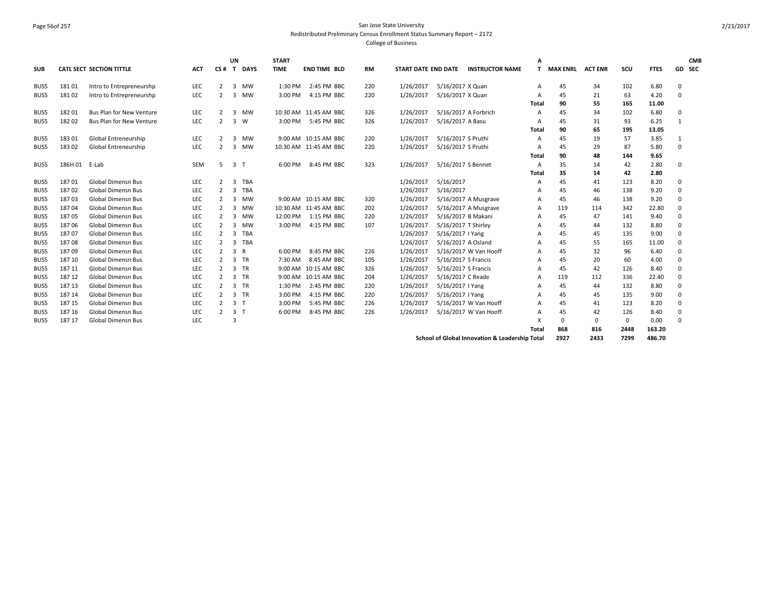## Page 56of 257 San Jose State University Redistributed Preliminary Census Enrollment Status Summary Report – 2172 College of Business

| <b>SUB</b> |        | <b>CATL SECT SECTION TITTLE</b> | <b>ACT</b> | $CS#$ T        | UN             | <b>DAYS</b> | <b>START</b><br><b>TIME</b> | <b>END TIME BLD</b>   | <b>RM</b> | <b>START DATE END DATE</b> |                      | <b>INSTRUCTOR NAME</b> | А<br>т | <b>MAX ENRL</b> | <b>ACT ENR</b> | scu  | <b>FTES</b> | <b>CMB</b><br>GD SEC |  |
|------------|--------|---------------------------------|------------|----------------|----------------|-------------|-----------------------------|-----------------------|-----------|----------------------------|----------------------|------------------------|--------|-----------------|----------------|------|-------------|----------------------|--|
| BUS5       | 18101  | Intro to Entrepreneurshp        | <b>LEC</b> | $\overline{2}$ | 3              | <b>MW</b>   | 1:30 PM                     | 2:45 PM BBC           | 220       | 1/26/2017                  | 5/16/2017 X Quan     |                        | A      | 45              | 34             | 102  | 6.80        | 0                    |  |
| BUS5       | 18102  | Intro to Entrepreneurshp        | <b>LEC</b> | 2              | 3              | MW          | 3:00 PM                     | 4:15 PM BBC           | 220       | 1/26/2017                  | 5/16/2017 X Quan     |                        | А      | 45              | 21             | 63   | 4.20        | 0                    |  |
|            |        |                                 |            |                |                |             |                             |                       |           |                            |                      |                        | Total  | 90              | 55             | 165  | 11.00       |                      |  |
| BUS5       | 18201  | <b>Bus Plan for New Venture</b> | LEC        | 2              | 3              | <b>MW</b>   |                             | 10:30 AM 11:45 AM BBC | 326       | 1/26/2017                  | 5/16/2017 A Forbrich |                        | A      | 45              | 34             | 102  | 6.80        | $\mathbf 0$          |  |
| BUS5       | 18202  | <b>Bus Plan for New Venture</b> | <b>LEC</b> | 2              | 3              | <b>W</b>    | 3:00 PM                     | 5:45 PM BBC           | 326       | 1/26/2017                  | 5/16/2017 A Basu     |                        | A      | 45              | 31             | 93   | 6.25        | 1                    |  |
|            |        |                                 |            |                |                |             |                             |                       |           |                            |                      |                        | Total  | 90              | 65             | 195  | 13.05       |                      |  |
| BUS5       | 18301  | Global Entreneurship            | LEC        | 2              | 3              | <b>MW</b>   |                             | 9:00 AM 10:15 AM BBC  | 220       | 1/26/2017                  | 5/16/2017 S Pruthi   |                        | А      | 45              | 19             | -57  | 3.85        | 1                    |  |
| BUS5       | 18302  | Global Entreneurship            | LEC        | 2              | 3              | MW          |                             | 10:30 AM 11:45 AM BBC | 220       | 1/26/2017                  | 5/16/2017 S Pruthi   |                        | A      | 45              | 29             | 87   | 5.80        | $^{\circ}$           |  |
|            |        |                                 |            |                |                |             |                             |                       |           |                            |                      |                        | Total  | 90              | 48             | 144  | 9.65        |                      |  |
| BUS5       | 186H01 | E-Lab                           | <b>SEM</b> | 5              | 3 <sub>1</sub> |             | 6:00 PM                     | 8:45 PM BBC           | 323       | 1/26/2017                  | 5/16/2017 S Bennet   |                        | A      | 35              | 14             | 42   | 2.80        | $\mathbf{0}$         |  |
|            |        |                                 |            |                |                |             |                             |                       |           |                            |                      |                        | Total  | 35              | 14             | 42   | 2.80        |                      |  |
| BUS5       | 18701  | <b>Global Dimensn Bus</b>       | LEC        | 2              | 3              | <b>TBA</b>  |                             |                       |           | 1/26/2017                  | 5/16/2017            |                        | A      | 45              | 41             | 123  | 8.20        | 0                    |  |
| BUS5       | 18702  | <b>Global Dimensn Bus</b>       | <b>LEC</b> | 2              | 3              | TBA         |                             |                       |           | 1/26/2017                  | 5/16/2017            |                        | А      | 45              | 46             | 138  | 9.20        | 0                    |  |
| BUS5       | 18703  | <b>Global Dimensn Bus</b>       | <b>LEC</b> | 2              | 3              | <b>MW</b>   |                             | 9:00 AM 10:15 AM BBC  | 320       | 1/26/2017                  |                      | 5/16/2017 A Musgrave   | А      | 45              | 46             | 138  | 9.20        | $\mathbf 0$          |  |
| BUS5       | 18704  | <b>Global Dimensn Bus</b>       | LEC        | 2              | 3              | MW          |                             | 10:30 AM 11:45 AM BBC | 202       | 1/26/2017                  |                      | 5/16/2017 A Musgrave   | A      | 119             | 114            | 342  | 22.80       | 0                    |  |
| BUS5       | 18705  | <b>Global Dimensn Bus</b>       | LEC        | 2              | 3              | MW          | 12:00 PM                    | 1:15 PM BBC           | 220       | 1/26/2017                  | 5/16/2017 B Makani   |                        | А      | 45              | 47             | 141  | 9.40        | 0                    |  |
| BUS5       | 18706  | <b>Global Dimensn Bus</b>       | LEC        | $\overline{2}$ | 3              | MW          | 3:00 PM                     | 4:15 PM BBC           | 107       | 1/26/2017                  | 5/16/2017 T Shirley  |                        | А      | 45              | 44             | 132  | 8.80        | 0                    |  |
| BUS5       | 18707  | <b>Global Dimensn Bus</b>       | LEC        | $\overline{2}$ | 3              | TBA         |                             |                       |           | 1/26/2017                  | 5/16/2017   Yang     |                        | А      | 45              | 45             | 135  | 9.00        | 0                    |  |
| BUS5       | 18708  | <b>Global Dimensn Bus</b>       | LEC        | 2              | 3              | TBA         |                             |                       |           | 1/26/2017                  | 5/16/2017 A Osland   |                        | А      | 45              | 55             | 165  | 11.00       | 0                    |  |
| BUS5       | 18709  | <b>Global Dimensn Bus</b>       | LEC        | 2              | 3 R            |             | 6:00 PM                     | 8:45 PM BBC           | 226       | 1/26/2017                  |                      | 5/16/2017 W Van Hooff  | А      | 45              | 32             | 96   | 6.40        | $^{\circ}$           |  |
| BUS5       | 187 10 | <b>Global Dimensn Bus</b>       | LEC        | $\overline{2}$ |                | 3 TR        | 7:30 AM                     | 8:45 AM BBC           | 105       | 1/26/2017                  | 5/16/2017 S Francis  |                        | А      | 45              | 20             | 60   | 4.00        | $\mathbf{0}$         |  |
| BUS5       | 187 11 | <b>Global Dimensn Bus</b>       | LEC        | $\overline{2}$ |                | 3 TR        |                             | 9:00 AM 10:15 AM BBC  | 326       | 1/26/2017                  | 5/16/2017 S Francis  |                        | А      | 45              | 42             | 126  | 8.40        | 0                    |  |
| BUS5       | 18712  | <b>Global Dimensn Bus</b>       | LEC        | 2              |                | 3 TR        |                             | 9:00 AM 10:15 AM BBC  | 204       | 1/26/2017                  | 5/16/2017 C Reade    |                        | А      | 119             | 112            | 336  | 22.40       | 0                    |  |
| BUS5       | 18713  | <b>Global Dimensn Bus</b>       | LEC        | $\overline{2}$ | 3              | TR          | 1:30 PM                     | 2:45 PM BBC           | 220       | 1/26/2017                  | 5/16/2017   Yang     |                        | А      | 45              | 44             | 132  | 8.80        | 0                    |  |
| BUS5       | 187 14 | <b>Global Dimensn Bus</b>       | LEC        | $\overline{2}$ |                | 3 TR        | 3:00 PM                     | 4:15 PM BBC           | 220       | 1/26/2017                  | 5/16/2017   Yang     |                        | А      | 45              | 45             | 135  | 9.00        | $\mathbf 0$          |  |
| BUS5       | 18715  | <b>Global Dimensn Bus</b>       | LEC        | 2              | 3 <sub>1</sub> |             | 3:00 PM                     | 5:45 PM BBC           | 226       | 1/26/2017                  |                      | 5/16/2017 W Van Hooff  | A      | 45              | 41             | 123  | 8.20        | 0                    |  |
| BUS5       | 187 16 | <b>Global Dimensn Bus</b>       | LEC        | 2              | 3 <sub>1</sub> |             | 6:00 PM                     | 8:45 PM BBC           | 226       | 1/26/2017                  |                      | 5/16/2017 W Van Hooff  | А      | 45              | 42             | 126  | 8.40        | $^{\circ}$           |  |
| BUS5       | 18717  | <b>Global Dimensn Bus</b>       | LEC        |                | 3              |             |                             |                       |           |                            |                      |                        | x      | $\Omega$        | 0              | 0    | 0.00        | 0                    |  |
|            |        |                                 |            |                |                |             |                             |                       |           |                            |                      |                        | Total  | 868             | 816            | 2448 | 163.20      |                      |  |
|            |        |                                 |            |                |                |             |                             |                       |           |                            |                      |                        |        |                 |                |      |             |                      |  |

**School of Global Innovation & Leadership Total 2927 2433 7299 486.70**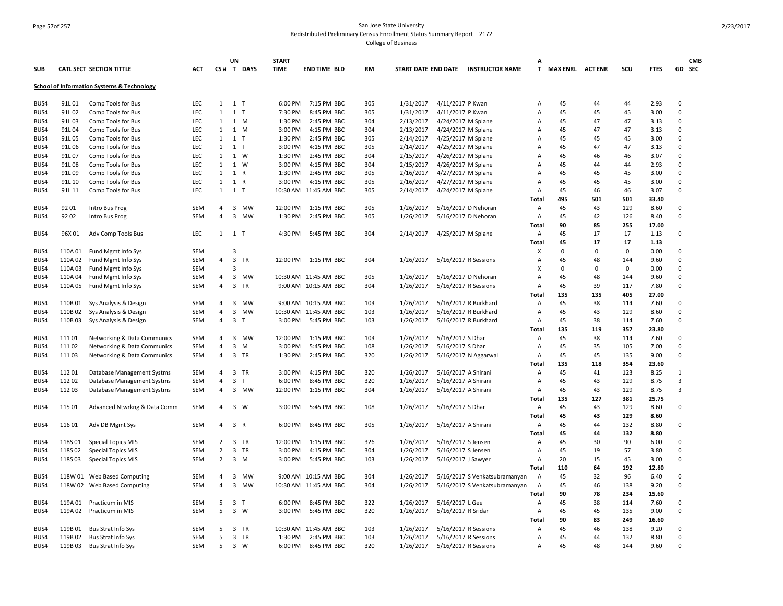# Page 57of 257 San Jose State University Redistributed Preliminary Census Enrollment Status Summary Report – 2172

|      |         |                                                       |            |                     | UN                      |              | <b>START</b> |                       |     |           |                     |                                     | А              |                         |             |             |               |                  | <b>CMB</b> |
|------|---------|-------------------------------------------------------|------------|---------------------|-------------------------|--------------|--------------|-----------------------|-----|-----------|---------------------|-------------------------------------|----------------|-------------------------|-------------|-------------|---------------|------------------|------------|
| SUB  |         | CATL SECT SECTION TITTLE                              | <b>ACT</b> |                     |                         | CS# T DAYS   | <b>TIME</b>  | <b>END TIME BLD</b>   | RM  |           |                     | START DATE END DATE INSTRUCTOR NAME | T.             | <b>MAX ENRL ACT ENR</b> |             | SCU         | <b>FTES</b>   |                  | GD SEC     |
|      |         | <b>School of Information Systems &amp; Technology</b> |            |                     |                         |              |              |                       |     |           |                     |                                     |                |                         |             |             |               |                  |            |
| BUS4 | 91L01   | Comp Tools for Bus                                    | LEC        | 1                   | 1 T                     |              | 6:00 PM      | 7:15 PM BBC           | 305 | 1/31/2017 | 4/11/2017 P Kwan    |                                     | Α              | 45                      | 44          | 44          | 2.93          | 0                |            |
| BUS4 | 91L02   | Comp Tools for Bus                                    | LEC        | $\mathbf{1}$        | $1$ T                   |              | 7:30 PM      | 8:45 PM BBC           | 305 | 1/31/2017 | 4/11/2017 P Kwan    |                                     | Α              | 45                      | 45          | 45          | 3.00          | 0                |            |
| BUS4 | 91L03   | Comp Tools for Bus                                    | <b>LEC</b> | $\mathbf{1}$        | 1 M                     |              | 1:30 PM      | 2:45 PM BBC           | 304 | 2/13/2017 |                     | 4/24/2017 M Splane                  | A              | 45                      | 47          | 47          | 3.13          | $\mathbf 0$      |            |
| BUS4 | 91L04   | Comp Tools for Bus                                    | LEC        | $\mathbf{1}$        | 1 M                     |              | 3:00 PM      | 4:15 PM BBC           | 304 | 2/13/2017 |                     | 4/24/2017 M Splane                  | Α              | 45                      | 47          | 47          | 3.13          | 0                |            |
| BUS4 | 91L05   | Comp Tools for Bus                                    | LEC        | $\mathbf{1}$        | $1$ T                   |              | 1:30 PM      | 2:45 PM BBC           | 305 | 2/14/2017 |                     | 4/25/2017 M Splane                  | Α              | 45                      | 45          | 45          | 3.00          | 0                |            |
| BUS4 | 91L06   | Comp Tools for Bus                                    | LEC        | $\mathbf{1}$        | $1$ T                   |              | 3:00 PM      | 4:15 PM BBC           | 305 | 2/14/2017 |                     | 4/25/2017 M Splane                  | Α              | 45                      | 47          | 47          | 3.13          | $\Omega$         |            |
| BUS4 | 91L07   | Comp Tools for Bus                                    | <b>LEC</b> | $\mathbf{1}$        | 1 W                     |              | 1:30 PM      | 2:45 PM BBC           | 304 | 2/15/2017 |                     | 4/26/2017 M Splane                  | Α              | 45                      | 46          | 46          | 3.07          | $\mathsf 0$      |            |
| BUS4 | 91L08   | Comp Tools for Bus                                    | LEC        | $\mathbf{1}$        | 1 W                     |              | 3:00 PM      | 4:15 PM BBC           | 304 | 2/15/2017 |                     | 4/26/2017 M Splane                  | Α              | 45                      | 44          | 44          | 2.93          | 0                |            |
| BUS4 | 91L09   | Comp Tools for Bus                                    | LEC        | $\mathbf{1}$        | 1 R                     |              | 1:30 PM      | 2:45 PM BBC           | 305 | 2/16/2017 |                     | 4/27/2017 M Splane                  | Α              | 45                      | 45          | 45          | 3.00          | $\mathsf 0$      |            |
| BUS4 | 91L 10  | Comp Tools for Bus                                    | LEC        | $\mathbf{1}$        | 1 R                     |              | 3:00 PM      | 4:15 PM BBC           | 305 | 2/16/2017 |                     | 4/27/2017 M Splane                  | Α              | 45                      | 45          | 45          | 3.00          | 0                |            |
| BUS4 | 91L 11  | Comp Tools for Bus                                    | <b>LEC</b> | $\mathbf{1}$        | 1 T                     |              |              | 10:30 AM 11:45 AM BBC | 305 | 2/14/2017 |                     | 4/24/2017 M Splane                  | $\overline{A}$ | 45                      | 46          | 46          | 3.07          | $\Omega$         |            |
|      |         |                                                       |            |                     |                         |              |              |                       |     |           |                     |                                     | Total          | 495                     | 501         | 501         | 33.40         |                  |            |
| BUS4 | 9201    | Intro Bus Prog                                        | <b>SEM</b> | 4                   |                         | 3 MW         | 12:00 PM     | 1:15 PM BBC           | 305 | 1/26/2017 |                     | 5/16/2017 D Nehoran                 | Α              | 45                      | 43          | 129         | 8.60          | 0                |            |
| BUS4 | 9202    | Intro Bus Prog                                        | SEM        | 4                   | 3                       | MW           | 1:30 PM      | 2:45 PM BBC           | 305 | 1/26/2017 |                     | 5/16/2017 D Nehoran                 | A              | 45                      | 42          | 126         | 8.40          | $\Omega$         |            |
|      |         |                                                       |            |                     |                         |              |              |                       |     |           |                     |                                     | Total          | 90                      | 85          | 255         | 17.00         |                  |            |
| BUS4 | 96X 01  | Adv Comp Tools Bus                                    | <b>LEC</b> |                     | 1 1 T                   |              | 4:30 PM      | 5:45 PM BBC           | 304 | 2/14/2017 |                     | 4/25/2017 M Splane                  | A              | 45                      | 17          | 17          | 1.13          | $\mathbf 0$      |            |
|      |         |                                                       |            |                     |                         |              |              |                       |     |           |                     |                                     | Total          | 45                      | 17          | 17          | 1.13          |                  |            |
| BUS4 | 110A01  | Fund Mgmt Info Sys                                    | SEM        |                     | 3                       |              |              |                       |     |           |                     |                                     | х              | 0                       | $\mathbf 0$ | $\mathbf 0$ | 0.00          | 0                |            |
| BUS4 | 110A 02 | Fund Mgmt Info Sys                                    | SEM        | $\overline{4}$      | $\overline{3}$          | TR           | 12:00 PM     | 1:15 PM BBC           | 304 | 1/26/2017 |                     | 5/16/2017 R Sessions                | $\overline{A}$ | 45                      | 48          | 144         | 9.60          | $\Omega$         |            |
| BUS4 | 110A03  | Fund Mgmt Info Sys                                    | SEM        |                     | 3                       |              |              |                       |     |           |                     |                                     | X              | 0                       | $\mathsf 0$ | $\mathsf 0$ | 0.00          | $\mathsf 0$      |            |
| BUS4 | 110A04  | Fund Mgmt Info Sys                                    | SEM        | 4                   |                         | 3 MW         |              | 10:30 AM 11:45 AM BBC | 305 | 1/26/2017 |                     | 5/16/2017 D Nehoran                 | A              | 45                      | 48          | 144         | 9.60          | $\mathbf 0$      |            |
| BUS4 | 110A 05 | Fund Mgmt Info Sys                                    | <b>SEM</b> | $\overline{4}$      | $\overline{\mathbf{3}}$ | TR           |              | 9:00 AM 10:15 AM BBC  | 304 | 1/26/2017 |                     | 5/16/2017 R Sessions                | Α              | 45                      | 39          | 117         | 7.80          | 0                |            |
|      |         |                                                       |            |                     |                         |              |              |                       |     |           |                     |                                     | Total          | 135                     | 135         | 405         | 27.00         |                  |            |
| BUS4 | 110B01  |                                                       | SEM        | 4                   |                         | 3 MW         |              | 9:00 AM 10:15 AM BBC  | 103 | 1/26/2017 |                     | 5/16/2017 R Burkhard                | Α              | 45                      | 38          | 114         | 7.60          | 0                |            |
|      |         | Sys Analysis & Design                                 | SEM        |                     |                         |              |              |                       | 103 |           |                     |                                     |                |                         |             |             |               | $\mathsf 0$      |            |
| BUS4 | 110B02  | Sys Analysis & Design                                 |            | 4                   | 3<br>3                  | MW<br>$\top$ |              | 10:30 AM 11:45 AM BBC |     | 1/26/2017 |                     | 5/16/2017 R Burkhard                | Α              | 45<br>45                | 43<br>38    | 129         | 8.60          | 0                |            |
| BUS4 | 110B03  | Sys Analysis & Design                                 | <b>SEM</b> | 4                   |                         |              | 3:00 PM      | 5:45 PM BBC           | 103 | 1/26/2017 |                     | 5/16/2017 R Burkhard                | Α<br>Total     | 135                     | 119         | 114<br>357  | 7.60<br>23.80 |                  |            |
|      |         |                                                       |            |                     |                         |              |              |                       |     |           |                     |                                     |                |                         |             |             |               |                  |            |
| BUS4 | 11101   | Networking & Data Communics                           | SEM        | 4<br>$\overline{4}$ |                         | 3 MW         | 12:00 PM     | 1:15 PM BBC           | 103 | 1/26/2017 | 5/16/2017 S Dhar    |                                     | Α              | 45                      | 38          | 114         | 7.60          | $\mathsf 0$      |            |
| BUS4 | 11102   | Networking & Data Communics                           | SEM        |                     | 3                       | M            | 3:00 PM      | 5:45 PM BBC           | 108 | 1/26/2017 | 5/16/2017 S Dhar    |                                     | A              | 45                      | 35          | 105         | 7.00          | 0<br>$\mathsf 0$ |            |
| BUS4 | 11103   | Networking & Data Communics                           | SEM        | $\overline{4}$      | 3 TR                    |              | 1:30 PM      | 2:45 PM BBC           | 320 | 1/26/2017 |                     | 5/16/2017 N Aggarwal                | Α              | 45                      | 45          | 135         | 9.00          |                  |            |
|      |         |                                                       |            |                     |                         |              |              |                       |     |           |                     |                                     | <b>Total</b>   | 135                     | 118         | 354         | 23.60         |                  |            |
| BUS4 | 11201   | Database Management Systms                            | SEM        | 4                   | 3                       | TR<br>T      | 3:00 PM      | 4:15 PM BBC           | 320 | 1/26/2017 | 5/16/2017 A Shirani |                                     | Α              | 45                      | 41          | 123         | 8.25          | $\mathbf{1}$     |            |
| BUS4 | 11202   | Database Management Systms                            | SEM        | 4                   | 3                       |              | 6:00 PM      | 8:45 PM BBC           | 320 | 1/26/2017 | 5/16/2017 A Shirani |                                     | Α              | 45                      | 43          | 129         | 8.75          | 3                |            |
| BUS4 | 11203   | Database Management Systms                            | <b>SEM</b> | 4                   |                         | 3 MW         | 12:00 PM     | 1:15 PM BBC           | 304 | 1/26/2017 | 5/16/2017 A Shirani |                                     | Α              | 45                      | 43          | 129         | 8.75          | 3                |            |
|      |         |                                                       |            |                     |                         |              |              |                       |     |           |                     |                                     | <b>Total</b>   | 135                     | 127         | 381         | 25.75         |                  |            |
| BUS4 | 115 01  | Advanced Ntwrkng & Data Comm                          | SEM        | 4                   | $3 \quad W$             |              | 3:00 PM      | 5:45 PM BBC           | 108 | 1/26/2017 | 5/16/2017 S Dhar    |                                     | Α              | 45                      | 43          | 129         | 8.60          | $\mathsf 0$      |            |
|      |         |                                                       |            |                     |                         |              |              |                       |     |           |                     |                                     | Total          | 45                      | 43          | 129         | 8.60          |                  |            |
| BUS4 | 11601   | Adv DB Mgmt Sys                                       | SEM        | 4                   | 3 R                     |              | 6:00 PM      | 8:45 PM BBC           | 305 | 1/26/2017 | 5/16/2017 A Shirani |                                     | Α              | 45                      | 44          | 132         | 8.80          | 0                |            |
|      |         |                                                       |            |                     |                         |              |              |                       |     |           |                     |                                     | Total          | 45                      | 44          | 132         | 8.80          |                  |            |
| BUS4 | 118S01  | <b>Special Topics MIS</b>                             | SEM        | $\overline{2}$      | 3 TR                    |              | 12:00 PM     | 1:15 PM BBC           | 326 | 1/26/2017 | 5/16/2017 S Jensen  |                                     | Α              | 45                      | 30          | 90          | 6.00          | $\mathbf 0$      |            |
| BUS4 | 118S02  | <b>Special Topics MIS</b>                             | SEM        | $\overline{2}$      | 3 TR                    |              | 3:00 PM      | 4:15 PM BBC           | 304 | 1/26/2017 | 5/16/2017 S Jensen  |                                     | А              | 45                      | 19          | 57          | 3.80          | $\mathsf 0$      |            |
| BUS4 | 118S03  | <b>Special Topics MIS</b>                             | <b>SEM</b> | $\overline{2}$      | 3 M                     |              | 3:00 PM      | 5:45 PM BBC           | 103 | 1/26/2017 | 5/16/2017 J Sawyer  |                                     | Α              | 20                      | 15          | 45          | 3.00          | $\mathbf 0$      |            |
|      |         |                                                       |            |                     |                         |              |              |                       |     |           |                     |                                     | Total          | 110                     | 64          | 192         | 12.80         |                  |            |
| BUS4 |         | 118W 01 Web Based Computing                           | SEM        | 4                   | 3                       | MW           |              | 9:00 AM 10:15 AM BBC  | 304 | 1/26/2017 |                     | 5/16/2017 S Venkatsubramanyan       | A              | 45                      | 32          | 96          | 6.40          | 0                |            |
| BUS4 |         | 118W 02 Web Based Computing                           | SEM        | $\overline{4}$      |                         | 3 MW         |              | 10:30 AM 11:45 AM BBC | 304 | 1/26/2017 |                     | 5/16/2017 S Venkatsubramanyan       | A              | 45                      | 46          | 138         | 9.20          | $\mathbf 0$      |            |
|      |         |                                                       |            |                     |                         |              |              |                       |     |           |                     |                                     | Total          | 90                      | 78          | 234         | 15.60         |                  |            |
| BUS4 | 119A 01 | Practicum in MIS                                      | SEM        | 5                   | 3 <sub>1</sub>          |              | 6:00 PM      | 8:45 PM BBC           | 322 | 1/26/2017 | 5/16/2017 L Gee     |                                     | Α              | 45                      | 38          | 114         | 7.60          | 0                |            |
| BUS4 | 119A 02 | Practicum in MIS                                      | <b>SEM</b> | 5                   | 3 W                     |              | 3:00 PM      | 5:45 PM BBC           | 320 | 1/26/2017 | 5/16/2017 R Sridar  |                                     | Α              | 45                      | 45          | 135         | 9.00          | $\mathbf 0$      |            |
|      |         |                                                       |            |                     |                         |              |              |                       |     |           |                     |                                     | Total          | 90                      | 83          | 249         | 16.60         |                  |            |
| BUS4 | 119B01  | <b>Bus Strat Info Sys</b>                             | <b>SEM</b> | 5                   | 3 TR                    |              |              | 10:30 AM 11:45 AM BBC | 103 | 1/26/2017 |                     | 5/16/2017 R Sessions                | A              | 45                      | 46          | 138         | 9.20          | 0                |            |
| BUS4 | 119B02  | Bus Strat Info Sys                                    | <b>SEM</b> | 5                   | 3                       | TR           | 1:30 PM      | 2:45 PM BBC           | 103 | 1/26/2017 |                     | 5/16/2017 R Sessions                | A              | 45                      | 44          | 132         | 8.80          | 0                |            |
| BUS4 | 119B03  | Bus Strat Info Sys                                    | <b>SEM</b> | 5                   | 3 W                     |              | 6:00 PM      | 8:45 PM BBC           | 320 | 1/26/2017 |                     | 5/16/2017 R Sessions                | A              | 45                      | 48          | 144         | 9.60          | $\mathbf 0$      |            |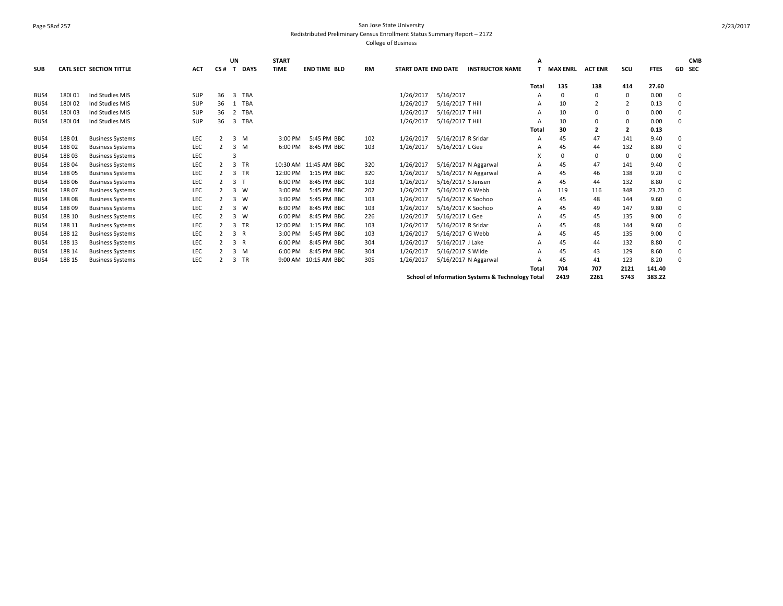## Page 58of 257 San Jose State University Redistributed Preliminary Census Enrollment Status Summary Report – 2172 College of Business

|            |        |                                 |            |                | <b>UN</b>      |             | <b>START</b> |                       |     |                            |                    |                                                  | А     |                 |                |                |             |          | <b>CMB</b> |
|------------|--------|---------------------------------|------------|----------------|----------------|-------------|--------------|-----------------------|-----|----------------------------|--------------------|--------------------------------------------------|-------|-----------------|----------------|----------------|-------------|----------|------------|
| <b>SUB</b> |        | <b>CATL SECT SECTION TITTLE</b> | <b>ACT</b> | CS#            | т              | <b>DAYS</b> | <b>TIME</b>  | <b>END TIME BLD</b>   | RM  | <b>START DATE END DATE</b> |                    | <b>INSTRUCTOR NAME</b>                           |       | <b>MAX ENRL</b> | <b>ACT ENR</b> | scu            | <b>FTES</b> |          | GD SEC     |
|            |        |                                 |            |                |                |             |              |                       |     |                            |                    |                                                  |       |                 |                |                | 27.60       |          |            |
|            |        |                                 |            |                |                |             |              |                       |     |                            |                    |                                                  | Total | 135             | 138            | 414            |             |          |            |
| BUS4       | 180101 | Ind Studies MIS                 | <b>SUP</b> | 36             | 3              | TBA         |              |                       |     | 1/26/2017                  | 5/16/2017          |                                                  | А     | 0               | 0              | $\mathbf 0$    | 0.00        | 0        |            |
| BUS4       | 180102 | Ind Studies MIS                 | SUP        | 36             | 1              | TBA         |              |                       |     | 1/26/2017                  | 5/16/2017 T Hill   |                                                  | А     | 10              |                | $\overline{2}$ | 0.13        | $\Omega$ |            |
| BUS4       | 180103 | Ind Studies MIS                 | SUP        | 36             |                | 2 TBA       |              |                       |     | 1/26/2017                  | 5/16/2017 T Hill   |                                                  | A     | 10              | $\Omega$       | 0              | 0.00        | $\Omega$ |            |
| BUS4       | 180104 | Ind Studies MIS                 | SUP        | 36             |                | 3 TBA       |              |                       |     | 1/26/2017                  | 5/16/2017 T Hill   |                                                  | A     | 10              | $\mathbf 0$    | 0              | 0.00        | $\Omega$ |            |
|            |        |                                 |            |                |                |             |              |                       |     |                            |                    |                                                  | Total | 30              | $\overline{2}$ | $\overline{2}$ | 0.13        |          |            |
| BUS4       | 18801  | <b>Business Systems</b>         | LEC        | $\overline{2}$ |                | $3 \, M$    | 3:00 PM      | 5:45 PM BBC           | 102 | 1/26/2017                  | 5/16/2017 R Sridar |                                                  | A     | 45              | 47             | 141            | 9.40        | 0        |            |
| BUS4       | 18802  | <b>Business Systems</b>         | LEC        | 2              |                | $3 \, M$    | 6:00 PM      | 8:45 PM BBC           | 103 | 1/26/2017                  | 5/16/2017 L Gee    |                                                  | А     | 45              | 44             | 132            | 8.80        | 0        |            |
| BUS4       | 18803  | <b>Business Systems</b>         | LEC        |                |                |             |              |                       |     |                            |                    |                                                  | х     | 0               | $\mathbf 0$    | 0              | 0.00        | $\Omega$ |            |
| BUS4       | 18804  | <b>Business Systems</b>         | LEC        | $\overline{2}$ |                | 3 TR        |              | 10:30 AM 11:45 AM BBC | 320 | 1/26/2017                  |                    | 5/16/2017 N Aggarwal                             | A     | 45              | 47             | 141            | 9.40        | $\Omega$ |            |
| BUS4       | 18805  | <b>Business Systems</b>         | LEC        | 2              |                | 3 TR        | 12:00 PM     | 1:15 PM BBC           | 320 | 1/26/2017                  |                    | 5/16/2017 N Aggarwal                             | Α     | 45              | 46             | 138            | 9.20        | $\Omega$ |            |
| BUS4       | 18806  | <b>Business Systems</b>         | LEC        | $\overline{2}$ | 3 <sub>1</sub> |             | 6:00 PM      | 8:45 PM BBC           | 103 | 1/26/2017                  | 5/16/2017 S Jensen |                                                  | A     | 45              | 44             | 132            | 8.80        | $\Omega$ |            |
| BUS4       | 18807  | <b>Business Systems</b>         | LEC        | $\overline{2}$ |                | $3 \quad W$ | 3:00 PM      | 5:45 PM BBC           | 202 | 1/26/2017                  | 5/16/2017 G Webb   |                                                  | A     | 119             | 116            | 348            | 23.20       | $\Omega$ |            |
| BUS4       | 18808  | <b>Business Systems</b>         | LEC        | $\overline{2}$ |                | $3 \quad W$ | 3:00 PM      | 5:45 PM BBC           | 103 | 1/26/2017                  | 5/16/2017 K Soohoo |                                                  | A     | 45              | 48             | 144            | 9.60        | 0        |            |
| BUS4       | 18809  | <b>Business Systems</b>         | LEC        |                |                | $3 \quad W$ | 6:00 PM      | 8:45 PM BBC           | 103 | 1/26/2017                  | 5/16/2017 K Soohoo |                                                  | А     | 45              | 49             | 147            | 9.80        | $\Omega$ |            |
| BUS4       | 188 10 | <b>Business Systems</b>         | LEC        |                |                | 3 W         | 6:00 PM      | 8:45 PM BBC           | 226 | 1/26/2017                  | 5/16/2017 L Gee    |                                                  | А     | 45              | 45             | 135            | 9.00        | $\Omega$ |            |
| BUS4       | 188 11 | <b>Business Systems</b>         | LEC        | $\overline{2}$ |                | 3 TR        | 12:00 PM     | 1:15 PM BBC           | 103 | 1/26/2017                  | 5/16/2017 R Sridar |                                                  | А     | 45              | 48             | 144            | 9.60        | $\Omega$ |            |
| BUS4       | 188 12 | <b>Business Systems</b>         | LEC        |                | 3 R            |             | 3:00 PM      | 5:45 PM BBC           | 103 | 1/26/2017                  | 5/16/2017 G Webb   |                                                  | А     | 45              | 45             | 135            | 9.00        | $\Omega$ |            |
| BUS4       | 188 13 | <b>Business Systems</b>         | LEC        | $\mathcal{P}$  |                | 3 R         | 6:00 PM      | 8:45 PM BBC           | 304 | 1/26/2017                  | 5/16/2017 J Lake   |                                                  | Α     | 45              | 44             | 132            | 8.80        | $\Omega$ |            |
| BUS4       | 188 14 | <b>Business Systems</b>         | LEC        | $\mathcal{L}$  |                | 3 M         | 6:00 PM      | 8:45 PM BBC           | 304 | 1/26/2017                  | 5/16/2017 S Wilde  |                                                  | А     | 45              | 43             | 129            | 8.60        | 0        |            |
| BUS4       | 188 15 | <b>Business Systems</b>         | LEC        |                |                | 3 TR        | 9:00 AM      | 10:15 AM BBC          | 305 | 1/26/2017                  |                    | 5/16/2017 N Aggarwal                             | А     | 45              | 41             | 123            | 8.20        | $\Omega$ |            |
|            |        |                                 |            |                |                |             |              |                       |     |                            |                    |                                                  | Total | 704             | 707            | 2121           | 141.40      |          |            |
|            |        |                                 |            |                |                |             |              |                       |     |                            |                    | School of Information Systems & Technology Total |       | 2419            | 2261           | 5743           | 383.22      |          |            |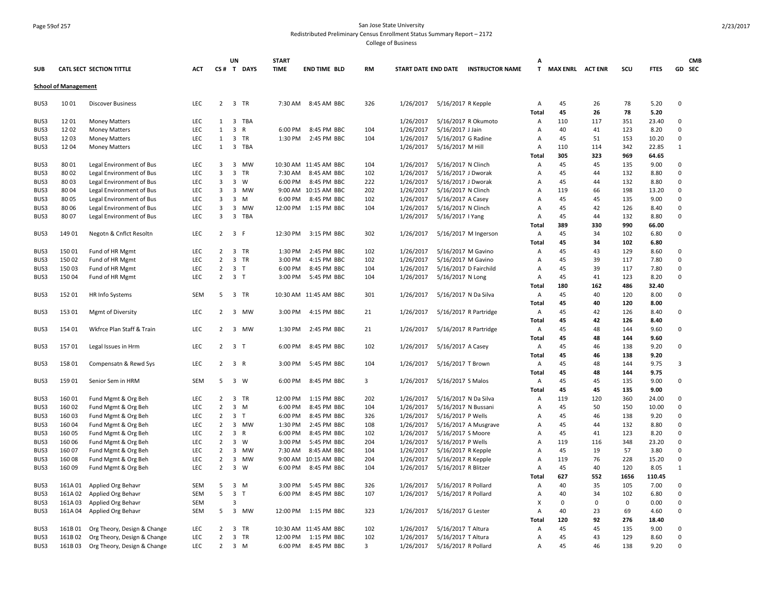#### Page 59of 257 San Jose State University Redistributed Preliminary Census Enrollment Status Summary Report – 2172

|            |                             |                             |            |                | UN                      |                | <b>START</b> |                       |           |           |                      |                                     | A              |                    |             |             |             |              | <b>CMB</b> |
|------------|-----------------------------|-----------------------------|------------|----------------|-------------------------|----------------|--------------|-----------------------|-----------|-----------|----------------------|-------------------------------------|----------------|--------------------|-------------|-------------|-------------|--------------|------------|
| <b>SUB</b> |                             | CATL SECT SECTION TITTLE    | <b>ACT</b> |                |                         | CS# T DAYS     | <b>TIME</b>  | <b>END TIME BLD</b>   | <b>RM</b> |           |                      | START DATE END DATE INSTRUCTOR NAME |                | T MAX ENRL ACT ENR |             | SCU         | <b>FTES</b> |              | GD SEC     |
|            | <b>School of Management</b> |                             |            |                |                         |                |              |                       |           |           |                      |                                     |                |                    |             |             |             |              |            |
| BUS3       | 1001                        | <b>Discover Business</b>    | LEC        |                | 2 3 TR                  |                |              | 7:30 AM 8:45 AM BBC   | 326       | 1/26/2017 | 5/16/2017 R Kepple   |                                     | A              | 45                 | 26          | 78          | 5.20        | 0            |            |
|            |                             |                             |            |                |                         |                |              |                       |           |           |                      |                                     | Total          | 45                 | 26          | 78          | 5.20        |              |            |
| BUS3       | 1201                        | <b>Money Matters</b>        | LEC        | 1              | $\overline{\mathbf{3}}$ | TBA            |              |                       |           | 1/26/2017 |                      | 5/16/2017 R Okumoto                 | Α              | 110                | 117         | 351         | 23.40       | 0            |            |
| BUS3       | 1202                        | <b>Money Matters</b>        | LEC        | $\mathbf{1}$   | 3                       | R              | 6:00 PM      | 8:45 PM BBC           | 104       | 1/26/2017 | 5/16/2017 J Jain     |                                     | A              | 40                 | 41          | 123         | 8.20        | $\mathbf 0$  |            |
| BUS3       | 1203                        | Money Matters               | LEC        | $\mathbf{1}$   | $\overline{\mathbf{3}}$ | TR             | 1:30 PM      | 2:45 PM BBC           | 104       | 1/26/2017 | 5/16/2017 G Radine   |                                     | Α              | 45                 | 51          | 153         | 10.20       | 0            |            |
| BUS3       | 1204                        | <b>Money Matters</b>        | <b>LEC</b> | 1              | $\overline{3}$          | TBA            |              |                       |           | 1/26/2017 | 5/16/2017 M Hill     |                                     | Α              | 110                | 114         | 342         | 22.85       | $\mathbf{1}$ |            |
|            |                             |                             |            |                |                         |                |              |                       |           |           |                      |                                     | Total          | 305                | 323         | 969         | 64.65       |              |            |
| BUS3       | 8001                        | Legal Environment of Bus    | LEC        | 3              | $\overline{3}$          | MW             |              | 10:30 AM 11:45 AM BBC | 104       | 1/26/2017 | 5/16/2017 N Clinch   |                                     | A              | 45                 | 45          | 135         | 9.00        | 0            |            |
| BUS3       | 8002                        | Legal Environment of Bus    | LEC        | 3              | 3                       | TR             | 7:30 AM      | 8:45 AM BBC           | 102       | 1/26/2017 | 5/16/2017 J Dworak   |                                     | A              | 45                 | 44          | 132         | 8.80        | $\Omega$     |            |
| BUS3       | 8003                        | Legal Environment of Bus    | <b>LEC</b> | 3              | $\overline{3}$          | W              | 6:00 PM      | 8:45 PM BBC           | 222       | 1/26/2017 | 5/16/2017 J Dworak   |                                     | A              | 45                 | 44          | 132         | 8.80        | $\Omega$     |            |
| BUS3       | 8004                        | Legal Environment of Bus    | <b>LEC</b> | 3              | $\overline{3}$          | MW             |              | 9:00 AM 10:15 AM BBC  | 202       | 1/26/2017 | 5/16/2017 N Clinch   |                                     | $\overline{A}$ | 119                | 66          | 198         | 13.20       | $\mathbf 0$  |            |
| BUS3       | 8005                        | Legal Environment of Bus    | LEC        | 3              | $\overline{\mathbf{3}}$ | M              | 6:00 PM      | 8:45 PM BBC           | 102       | 1/26/2017 | 5/16/2017 A Casey    |                                     | A              | 45                 | 45          | 135         | 9.00        | $\mathsf 0$  |            |
| BUS3       | 8006                        | Legal Environment of Bus    | LEC        | 3              | $\overline{\mathbf{3}}$ | <b>MW</b>      | 12:00 PM     | 1:15 PM BBC           | 104       | 1/26/2017 | 5/16/2017 N Clinch   |                                     | A              | 45                 | 42          | 126         | 8.40        | $\mathsf 0$  |            |
| BUS3       | 8007                        | Legal Environment of Bus    | LEC        | 3              | $\overline{\mathbf{3}}$ | TBA            |              |                       |           | 1/26/2017 | 5/16/2017   Yang     |                                     | A              | 45                 | 44          | 132         | 8.80        | $\Omega$     |            |
|            |                             |                             |            |                |                         |                |              |                       |           |           |                      |                                     | Total          | 389                | 330         | 990         | 66.00       |              |            |
| BUS3       | 14901                       | Negotn & Cnflct Resoltn     | LEC        | $\overline{2}$ | $\overline{\mathbf{3}}$ | - F            | 12:30 PM     | 3:15 PM BBC           | 302       | 1/26/2017 |                      | 5/16/2017 M Ingerson                | Α              | 45                 | 34          | 102         | 6.80        | 0            |            |
|            |                             |                             |            |                |                         |                |              |                       |           |           |                      |                                     | Total          | 45                 | 34          | 102         | 6.80        |              |            |
| BUS3       | 15001                       | Fund of HR Mgmt             | LEC        | $\overline{2}$ |                         | 3 TR           | 1:30 PM      | 2:45 PM BBC           | 102       | 1/26/2017 | 5/16/2017 M Gavino   |                                     | Α              | 45                 | 43          | 129         | 8.60        | 0            |            |
| BUS3       | 15002                       | Fund of HR Mgmt             | LEC        | $\overline{2}$ | 3                       | TR             | 3:00 PM      | 4:15 PM BBC           | 102       | 1/26/2017 | 5/16/2017 M Gavino   |                                     | Α              | 45                 | 39          | 117         | 7.80        | 0            |            |
| BUS3       | 15003                       | Fund of HR Mgmt             | LEC        | $\overline{2}$ |                         | 3 <sub>1</sub> | 6:00 PM      | 8:45 PM BBC           | 104       | 1/26/2017 |                      | 5/16/2017 D Fairchild               | A              | 45                 | 39          | 117         | 7.80        | 0            |            |
| BUS3       | 15004                       | Fund of HR Mgmt             | LEC        | $\overline{2}$ | 3 <sub>1</sub>          |                | 3:00 PM      | 5:45 PM BBC           | 104       | 1/26/2017 | 5/16/2017 N Long     |                                     | A              | 45                 | 41          | 123         | 8.20        | $\mathbf 0$  |            |
|            |                             |                             |            |                |                         |                |              |                       |           |           |                      |                                     | <b>Total</b>   | 180                | 162         | 486         | 32.40       |              |            |
| BUS3       | 15201                       | HR Info Systems             | <b>SEM</b> | 5              |                         | 3 TR           |              | 10:30 AM 11:45 AM BBC | 301       | 1/26/2017 |                      | 5/16/2017 N Da Silva                | A              | 45                 | 40          | 120         | 8.00        | $\Omega$     |            |
|            |                             |                             |            |                |                         |                |              |                       |           |           |                      |                                     | Total          | 45                 | 40          | 120         | 8.00        |              |            |
| BUS3       | 15301                       | Mgmt of Diversity           | LEC        | $\overline{2}$ |                         | 3 MW           | 3:00 PM      | 4:15 PM BBC           | 21        | 1/26/2017 |                      | 5/16/2017 R Partridge               | Α              | 45                 | 42          | 126         | 8.40        | 0            |            |
|            |                             |                             |            |                |                         |                |              |                       |           |           |                      |                                     | Total          | 45                 | 42          | 126         | 8.40        |              |            |
| BUS3       | 154 01                      | Wkfrce Plan Staff & Train   | LEC        | $2^{\circ}$    |                         | 3 MW           | 1:30 PM      | 2:45 PM BBC           | 21        | 1/26/2017 |                      | 5/16/2017 R Partridge               | A              | 45                 | 48          | 144         | 9.60        | 0            |            |
|            |                             |                             |            |                |                         |                |              |                       |           |           |                      |                                     | <b>Total</b>   | 45                 | 48          | 144         | 9.60        |              |            |
| BUS3       | 15701                       | Legal Issues in Hrm         | <b>LEC</b> | $\overline{2}$ | $\overline{3}$          | $\top$         | 6:00 PM      | 8:45 PM BBC           | 102       | 1/26/2017 | 5/16/2017 A Casey    |                                     | $\overline{A}$ | 45                 | 46          | 138         | 9.20        | $\Omega$     |            |
|            |                             |                             |            |                |                         |                |              |                       |           |           |                      |                                     | <b>Total</b>   | 45                 | 46          | 138         | 9.20        |              |            |
| BUS3       | 15801                       | Compensatn & Rewd Sys       | LEC        | $2^{\circ}$    | 3 R                     |                | 3:00 PM      | 5:45 PM BBC           | 104       | 1/26/2017 | 5/16/2017 T Brown    |                                     | A              | 45                 | 48          | 144         | 9.75        | 3            |            |
|            |                             |                             |            |                |                         |                |              |                       |           |           |                      |                                     | Total          | 45                 | 48          | 144         | 9.75        |              |            |
| BUS3       | 15901                       | Senior Sem in HRM           | SEM        | -5             |                         | 3 W            | 6:00 PM      | 8:45 PM BBC           | 3         | 1/26/2017 | 5/16/2017 S Malos    |                                     | A              | 45                 | 45          | 135         | 9.00        | 0            |            |
|            |                             |                             |            |                |                         |                |              |                       |           |           |                      |                                     | Total          | 45                 | 45          | 135         | 9.00        |              |            |
| BUS3       | 16001                       | Fund Mgmt & Org Beh         | LEC        | $\overline{2}$ |                         | 3 TR           | 12:00 PM     | 1:15 PM BBC           | 202       | 1/26/2017 | 5/16/2017 N Da Silva |                                     | Α              | 119                | 120         | 360         | 24.00       | 0            |            |
| BUS3       | 16002                       | Fund Mgmt & Org Beh         | LEC        | $\overline{2}$ | $\overline{\mathbf{3}}$ | M              | 6:00 PM      | 8:45 PM BBC           | 104       | 1/26/2017 | 5/16/2017 N Bussani  |                                     | Α              | 45                 | 50          | 150         | 10.00       | $\mathsf 0$  |            |
| BUS3       | 16003                       | Fund Mgmt & Org Beh         | LEC        | $\overline{2}$ | $\overline{\mathbf{3}}$ | $\top$         | 6:00 PM      | 8:45 PM BBC           | 326       | 1/26/2017 | 5/16/2017 P Wells    |                                     | A              | 45                 | 46          | 138         | 9.20        | $\mathbf 0$  |            |
| BUS3       | 16004                       | Fund Mgmt & Org Beh         | LEC        | $\overline{2}$ | $\overline{\mathbf{3}}$ | MW             | 1:30 PM      | 2:45 PM BBC           | 108       | 1/26/2017 |                      | 5/16/2017 A Musgrave                | A              | 45                 | 44          | 132         | 8.80        | 0            |            |
| BUS3       | 16005                       | Fund Mgmt & Org Beh         | LEC        | $\overline{2}$ | $\overline{\mathbf{3}}$ | R              | 6:00 PM      | 8:45 PM BBC           | 102       | 1/26/2017 | 5/16/2017 S Moore    |                                     | A              | 45                 | 41          | 123         | 8.20        | 0            |            |
| BUS3       | 16006                       | Fund Mgmt & Org Beh         | LEC        | $\overline{2}$ | $\overline{\mathbf{3}}$ | W              | 3:00 PM      | 5:45 PM BBC           | 204       | 1/26/2017 | 5/16/2017 P Wells    |                                     | A              | 119                | 116         | 348         | 23.20       | 0            |            |
| BUS3       | 16007                       | Fund Mgmt & Org Beh         | LEC        | $\overline{2}$ |                         | 3 MW           | 7:30 AM      | 8:45 AM BBC           | 104       | 1/26/2017 | 5/16/2017 R Kepple   |                                     | A              | 45                 | 19          | 57          | 3.80        | $\mathsf 0$  |            |
| BUS3       | 16008                       | Fund Mgmt & Org Beh         | LEC        | $\overline{2}$ | 3                       | MW             | 9:00 AM      | 10:15 AM BBC          | 204       | 1/26/2017 | 5/16/2017 R Kepple   |                                     | A              | 119                | 76          | 228         | 15.20       | 0            |            |
| BUS3       | 16009                       | Fund Mgmt & Org Beh         | LEC        | $\overline{2}$ | $\overline{\mathbf{3}}$ | W              | 6:00 PM      | 8:45 PM BBC           | 104       | 1/26/2017 | 5/16/2017 R Blitzer  |                                     | A              | 45                 | 40          | 120         | 8.05        | $\mathbf{1}$ |            |
|            |                             |                             |            |                |                         |                |              |                       |           |           |                      |                                     | Total          | 627                | 552         | 1656        | 110.45      |              |            |
| BUS3       | 161A01                      | Applied Org Behavr          | SEM        | 5              | $\overline{\mathbf{3}}$ | M              | 3:00 PM      | 5:45 PM BBC           | 326       | 1/26/2017 | 5/16/2017 R Pollard  |                                     | A              | 40                 | 35          | 105         | 7.00        | 0            |            |
| BUS3       | 161A02                      | Applied Org Behavr          | <b>SEM</b> | 5              |                         | 3 <sub>1</sub> | 6:00 PM      | 8:45 PM BBC           | 107       | 1/26/2017 | 5/16/2017 R Pollard  |                                     | A              | 40                 | 34          | 102         | 6.80        | $\mathbf 0$  |            |
| BUS3       | 161A03                      | Applied Org Behavr          | SEM        |                | з                       |                |              |                       |           |           |                      |                                     | x              | 0                  | $\mathbf 0$ | $\mathsf 0$ | 0.00        | 0            |            |
| BUS3       | 161A04                      | Applied Org Behavr          | <b>SEM</b> | 5              |                         | 3 MW           | 12:00 PM     | 1:15 PM BBC           | 323       | 1/26/2017 | 5/16/2017 G Lester   |                                     | $\overline{A}$ | 40                 | 23          | 69          | 4.60        | 0            |            |
|            |                             |                             |            |                |                         |                |              |                       |           |           |                      |                                     | Total          | 120                | 92          | 276         | 18.40       |              |            |
| BUS3       | 161B01                      | Org Theory, Design & Change | LEC        | $\overline{2}$ |                         | 3 TR           |              | 10:30 AM 11:45 AM BBC | 102       | 1/26/2017 | 5/16/2017 T Altura   |                                     | A              | 45                 | 45          | 135         | 9.00        | 0            |            |
| BUS3       | 161B02                      | Org Theory, Design & Change | LEC        | $\overline{2}$ |                         | 3 TR           | 12:00 PM     | 1:15 PM BBC           | 102       | 1/26/2017 | 5/16/2017 T Altura   |                                     | A              | 45                 | 43          | 129         | 8.60        | $\mathsf 0$  |            |
| BUS3       | 161B03                      | Org Theory, Design & Change | LEC        | $\overline{2}$ |                         | 3 M            | 6:00 PM      | 8:45 PM BBC           | 3         | 1/26/2017 | 5/16/2017 R Pollard  |                                     | A              | 45                 | 46          | 138         | 9.20        | $\mathbf 0$  |            |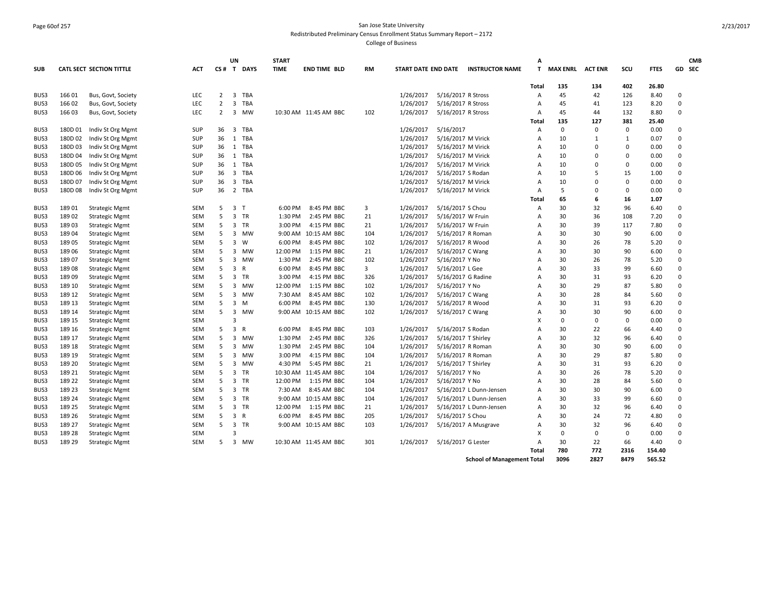# Page 60of 257 San Jose State University Redistributed Preliminary Census Enrollment Status Summary Report – 2172

College of Business

|            |         |                                 |            |                | <b>UN</b>      |            | <b>START</b>        |                       |           |                            |                     |                         | A            |                 |                |              |              |             | <b>CMB</b> |
|------------|---------|---------------------------------|------------|----------------|----------------|------------|---------------------|-----------------------|-----------|----------------------------|---------------------|-------------------------|--------------|-----------------|----------------|--------------|--------------|-------------|------------|
| <b>SUB</b> |         | <b>CATL SECT SECTION TITTLE</b> | <b>ACT</b> |                |                | CS# T DAYS | <b>TIME</b>         | <b>END TIME BLD</b>   | RM        | <b>START DATE END DATE</b> |                     | <b>INSTRUCTOR NAME</b>  | T            | <b>MAX ENRL</b> | <b>ACT ENR</b> | scu          | <b>FTES</b>  |             | GD SEC     |
|            |         |                                 |            |                |                |            |                     |                       |           |                            |                     |                         | <b>Total</b> | 135             | 134            | 402          | 26.80        |             |            |
| BUS3       | 16601   | Bus, Govt, Society              | LEC        | $\overline{2}$ |                | 3 TBA      |                     |                       |           | 1/26/2017                  | 5/16/2017 R Stross  |                         | Α            | 45              | 42             | 126          | 8.40         | $\mathbf 0$ |            |
| BUS3       | 16602   | Bus, Govt, Society              | LEC        | $\overline{2}$ | $\overline{3}$ | TBA        |                     |                       |           | 1/26/2017                  | 5/16/2017 R Stross  |                         | Α            | 45              | 41             | 123          | 8.20         | $\Omega$    |            |
| BUS3       | 16603   | Bus, Govt, Society              | <b>LEC</b> | 2              |                | 3 MW       |                     | 10:30 AM 11:45 AM BBC | 102       | 1/26/2017                  | 5/16/2017 R Stross  |                         | A            | 45              | 44             | 132          | 8.80         | $\mathbf 0$ |            |
|            |         |                                 |            |                |                |            |                     |                       |           |                            |                     |                         | <b>Total</b> | 135             | 127            | 381          | 25.40        |             |            |
| BUS3       | 180D01  | Indiv St Org Mgmt               | SUP        | 36             | 3              | TBA        |                     |                       |           | 1/26/2017                  | 5/16/2017           |                         | A            | $\mathbf 0$     | $\Omega$       | $\Omega$     | 0.00         | $\mathbf 0$ |            |
| BUS3       | 180D 02 | Indiv St Org Mgmt               | <b>SUP</b> | 36             |                | 1 TBA      |                     |                       |           | 1/26/2017                  | 5/16/2017 M Virick  |                         | A            | 10              | 1              | $\mathbf{1}$ | 0.07         | $\Omega$    |            |
| BUS3       | 180D03  | Indiv St Org Mgmt               | <b>SUP</b> | 36             |                | 1 TBA      |                     |                       |           | 1/26/2017                  | 5/16/2017 M Virick  |                         | A            | 10              | $\Omega$       | $\mathbf 0$  | 0.00         | $\mathbf 0$ |            |
| BUS3       | 180D 04 | Indiv St Org Mgmt               | SUP        | 36             |                | 1 TBA      |                     |                       |           | 1/26/2017                  | 5/16/2017 M Virick  |                         | A            | 10              | $\Omega$       | $\Omega$     | 0.00         | $\mathbf 0$ |            |
| BUS3       | 180D05  | Indiv St Org Mgmt               | <b>SUP</b> | 36             |                | 1 TBA      |                     |                       |           | 1/26/2017                  | 5/16/2017 M Virick  |                         | А            | 10              | $\Omega$       | $\Omega$     | 0.00         | $\mathbf 0$ |            |
| BUS3       | 180D 06 | Indiv St Org Mgmt               | <b>SUP</b> | 36             |                | 3 TBA      |                     |                       |           | 1/26/2017                  | 5/16/2017 S Rodan   |                         | A            | 10              | 5              | 15           | 1.00         | $\mathbf 0$ |            |
| BUS3       | 180D 07 | Indiv St Org Mgmt               | SUP        | 36             |                | 3 TBA      |                     |                       |           | 1/26/2017                  | 5/16/2017 M Virick  |                         | A            | 10              | $\Omega$       | $\Omega$     | 0.00         | $\mathbf 0$ |            |
| BUS3       | 180D08  | Indiv St Org Mgmt               | <b>SUP</b> | 36             |                | 2 TBA      |                     |                       |           | 1/26/2017                  | 5/16/2017 M Virick  |                         | A            | 5               | $\Omega$       | $\Omega$     | 0.00         | $\Omega$    |            |
|            |         |                                 |            |                |                |            |                     |                       |           |                            |                     |                         | Total        | 65              | 6              | 16           | 1.07         |             |            |
| BUS3       | 18901   | <b>Strategic Mgmt</b>           | <b>SEM</b> | 5              | 3 <sub>1</sub> |            | 6:00 PM             | 8:45 PM BBC           | 3         | 1/26/2017                  | 5/16/2017 S Chou    |                         | Α            | 30              | 32             | 96           | 6.40         | $\Omega$    |            |
| BUS3       | 18902   | <b>Strategic Mgmt</b>           | <b>SEM</b> | 5              |                | 3 TR       | 1:30 PM             | 2:45 PM BBC           | 21        | 1/26/2017                  | 5/16/2017 W Fruin   |                         | A            | 30              | 36             | 108          | 7.20         | $\Omega$    |            |
| BUS3       | 18903   | <b>Strategic Mgmt</b>           | SEM        | 5              | 3              | TR         | 3:00 PM             | 4:15 PM BBC           | 21        | 1/26/2017                  | 5/16/2017 W Fruin   |                         | A            | 30              | 39             | 117          | 7.80         | $\mathbf 0$ |            |
| BUS3       | 18904   | <b>Strategic Mgmt</b>           | SEM        | 5              |                | 3 MW       | 9:00 AM             | 10:15 AM BBC          | 104       | 1/26/2017                  | 5/16/2017 R Roman   |                         | A            | 30              | 30             | 90           | 6.00         | $\mathbf 0$ |            |
|            | 18905   |                                 | <b>SEM</b> | 5              | 3              | W          | 6:00 PM             | 8:45 PM BBC           | 102       | 1/26/2017                  | 5/16/2017 R Wood    |                         | A            | 30              | 26             | 78           | 5.20         | $\Omega$    |            |
| BUS3       |         | <b>Strategic Mgmt</b>           | SEM        | 5              |                | <b>MW</b>  |                     |                       |           | 1/26/2017                  |                     |                         |              | 30              |                | 90           |              | $\mathbf 0$ |            |
| BUS3       | 18906   | <b>Strategic Mgmt</b>           | SEM        | 5              | 3              | 3 MW       | 12:00 PM<br>1:30 PM | 1:15 PM BBC           | 21<br>102 |                            | 5/16/2017 C Wang    |                         | А            | 30              | 30<br>26       | 78           | 6.00<br>5.20 | $\Omega$    |            |
| BUS3       | 18907   | <b>Strategic Mgmt</b>           |            |                |                |            |                     | 2:45 PM BBC           |           | 1/26/2017                  | 5/16/2017 Y No      |                         | A            |                 |                |              |              |             |            |
| BUS3       | 18908   | <b>Strategic Mgmt</b>           | <b>SEM</b> | 5              | 3              | R          | 6:00 PM             | 8:45 PM BBC           | 3         | 1/26/2017                  | 5/16/2017 L Gee     |                         | A            | 30              | 33             | 99           | 6.60         | $\Omega$    |            |
| BUS3       | 18909   | <b>Strategic Mgmt</b>           | SEM        | 5              |                | 3 TR       | 3:00 PM             | 4:15 PM BBC           | 326       | 1/26/2017                  | 5/16/2017 G Radine  |                         | A            | 30              | 31             | 93           | 6.20         | $\mathbf 0$ |            |
| BUS3       | 189 10  | <b>Strategic Mgmt</b>           | <b>SEM</b> | 5              | 3              | MW         | 12:00 PM            | 1:15 PM BBC           | 102       | 1/26/2017                  | 5/16/2017 Y No      |                         | A            | 30              | 29             | 87           | 5.80         | $\mathbf 0$ |            |
| BUS3       | 189 12  | <b>Strategic Mgmt</b>           | SEM        | 5              | 3              | MW         | 7:30 AM             | 8:45 AM BBC           | 102       | 1/26/2017                  | 5/16/2017 C Wang    |                         | A            | 30              | 28             | 84           | 5.60         | $\Omega$    |            |
| BUS3       | 189 13  | <b>Strategic Mgmt</b>           | SEM        | 5              | 3              | M          | 6:00 PM             | 8:45 PM BBC           | 130       | 1/26/2017                  | 5/16/2017 R Wood    |                         | A            | 30              | 31             | 93           | 6.20         | $\Omega$    |            |
| BUS3       | 189 14  | <b>Strategic Mgmt</b>           | SEM        | 5              | 3              | MW         |                     | 9:00 AM 10:15 AM BBC  | 102       | 1/26/2017                  | 5/16/2017 C Wang    |                         | A            | 30              | 30             | 90           | 6.00         | $\mathbf 0$ |            |
| BUS3       | 189 15  | <b>Strategic Mgmt</b>           | <b>SEM</b> |                | $\overline{3}$ |            |                     |                       |           |                            |                     |                         | x            | $\Omega$        | $\Omega$       | $\mathbf 0$  | 0.00         | $\Omega$    |            |
| BUS3       | 189 16  | <b>Strategic Mgmt</b>           | SEM        | 5              | 3              | R          | 6:00 PM             | 8:45 PM BBC           | 103       | 1/26/2017                  | 5/16/2017 S Rodan   |                         | A            | 30              | 22             | 66           | 4.40         | $\mathbf 0$ |            |
| BUS3       | 189 17  | <b>Strategic Mgmt</b>           | SEM        | 5              | 3              | MW         | 1:30 PM             | 2:45 PM BBC           | 326       | 1/26/2017                  | 5/16/2017 T Shirley |                         | A            | 30              | 32             | 96           | 6.40         | $\Omega$    |            |
| BUS3       | 189 18  | <b>Strategic Mgmt</b>           | <b>SEM</b> | 5              | 3              | MW         | 1:30 PM             | 2:45 PM BBC           | 104       | 1/26/2017                  | 5/16/2017 R Roman   |                         | A            | 30              | 30             | 90           | 6.00         | 0           |            |
| BUS3       | 189 19  | <b>Strategic Mgmt</b>           | SEM        | 5              | 3              | MW         | 3:00 PM             | 4:15 PM BBC           | 104       | 1/26/2017                  | 5/16/2017 R Roman   |                         | А            | 30              | 29             | 87           | 5.80         | $\mathsf 0$ |            |
| BUS3       | 189 20  | <b>Strategic Mgmt</b>           | SEM        | 5              | 3              | <b>MW</b>  | 4:30 PM             | 5:45 PM BBC           | 21        | 1/26/2017                  | 5/16/2017 T Shirley |                         | A            | 30              | 31             | 93           | 6.20         | $\mathbf 0$ |            |
| BUS3       | 189 21  | <b>Strategic Mgmt</b>           | <b>SEM</b> | 5              | 3              | TR         |                     | 10:30 AM 11:45 AM BBC | 104       | 1/26/2017                  | 5/16/2017 Y No      |                         | A            | 30              | 26             | 78           | 5.20         | $\Omega$    |            |
| BUS3       | 189 22  | <b>Strategic Mgmt</b>           | SEM        | 5              |                | 3 TR       | 12:00 PM            | 1:15 PM BBC           | 104       | 1/26/2017                  | 5/16/2017 Y No      |                         | А            | 30              | 28             | 84           | 5.60         | $\mathbf 0$ |            |
| BUS3       | 189 23  | <b>Strategic Mgmt</b>           | SEM        | 5              |                | 3 TR       | 7:30 AM             | 8:45 AM BBC           | 104       | 1/26/2017                  |                     | 5/16/2017 L Dunn-Jensen | А            | 30              | 30             | 90           | 6.00         | $\mathbf 0$ |            |
| BUS3       | 189 24  | <b>Strategic Mgmt</b>           | SEM        | 5              |                | 3 TR       | 9:00 AM             | 10:15 AM BBC          | 104       | 1/26/2017                  |                     | 5/16/2017 L Dunn-Jensen | A            | 30              | 33             | 99           | 6.60         | $\Omega$    |            |
| BUS3       | 189 25  | <b>Strategic Mgmt</b>           | <b>SEM</b> | 5              | $\overline{3}$ | <b>TR</b>  | 12:00 PM            | 1:15 PM BBC           | 21        | 1/26/2017                  |                     | 5/16/2017 L Dunn-Jensen | A            | 30              | 32             | 96           | 6.40         | $\Omega$    |            |
| BUS3       | 189 26  | <b>Strategic Mgmt</b>           | SEM        | 5              | 3 R            |            | 6:00 PM             | 8:45 PM BBC           | 205       | 1/26/2017                  | 5/16/2017 S Chou    |                         | A            | 30              | 24             | 72           | 4.80         | $\mathbf 0$ |            |
| BUS3       | 189 27  | <b>Strategic Mgmt</b>           | <b>SEM</b> | 5              |                | 3 TR       |                     | 9:00 AM 10:15 AM BBC  | 103       | 1/26/2017                  |                     | 5/16/2017 A Musgrave    | A            | 30              | 32             | 96           | 6.40         | $\Omega$    |            |
| BUS3       | 189 28  | <b>Strategic Mgmt</b>           | <b>SEM</b> |                | 3              |            |                     |                       |           |                            |                     |                         | X            | $\mathbf 0$     | $\mathbf 0$    | $\mathbf 0$  | 0.00         | $\mathbf 0$ |            |
| BUS3       | 189 29  | <b>Strategic Mgmt</b>           | <b>SEM</b> | 5              |                | 3 MW       |                     | 10:30 AM 11:45 AM BBC | 301       | 1/26/2017                  | 5/16/2017 G Lester  |                         | A            | 30              | 22             | 66           | 4.40         | $\Omega$    |            |
|            |         |                                 |            |                |                |            |                     |                       |           |                            |                     |                         | <b>Total</b> | 780             | 772            | 2316         | 154.40       |             |            |

**School of Management Total 3096 2827 8479 565.52**